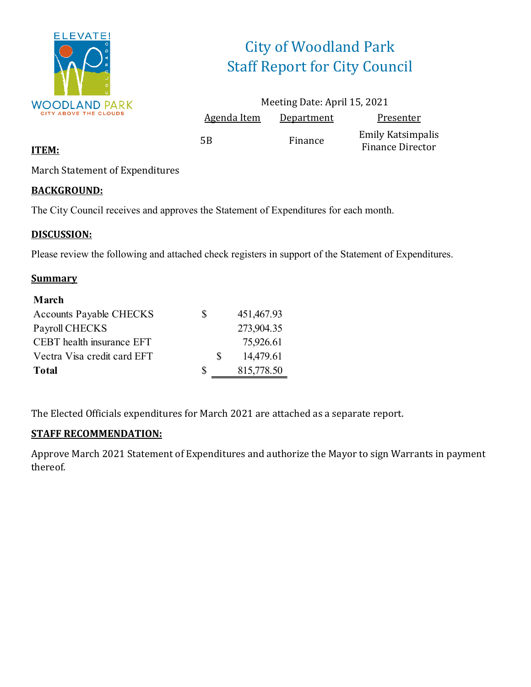

# City of Woodland Park Staff Report for City Council

|                    | Meeting Date: April 15, 2021 |                                              |
|--------------------|------------------------------|----------------------------------------------|
| <b>Agenda Item</b> | <b>Department</b>            | Presenter                                    |
| 5Β                 | Finance                      | Emily Katsimpalis<br><b>Finance Director</b> |

### **ITEM:**

March Statement of Expenditures

### **BACKGROUND:**

The City Council receives and approves the Statement of Expenditures for each month.

### **DISCUSSION:**

Please review the following and attached check registers in support of the Statement of Expenditures.

#### **Summary**

| March                          |   |   |            |
|--------------------------------|---|---|------------|
| <b>Accounts Payable CHECKS</b> | S |   | 451,467.93 |
| Payroll CHECKS                 |   |   | 273,904.35 |
| CEBT health insurance EFT      |   |   | 75,926.61  |
| Vectra Visa credit card EFT    |   | S | 14,479.61  |
| <b>Total</b>                   | S |   | 815,778.50 |

The Elected Officials expenditures for March 2021 are attached as a separate report.

### **STAFF RECOMMENDATION:**

Approve March 2021 Statement of Expenditures and authorize the Mayor to sign Warrants in payment thereof.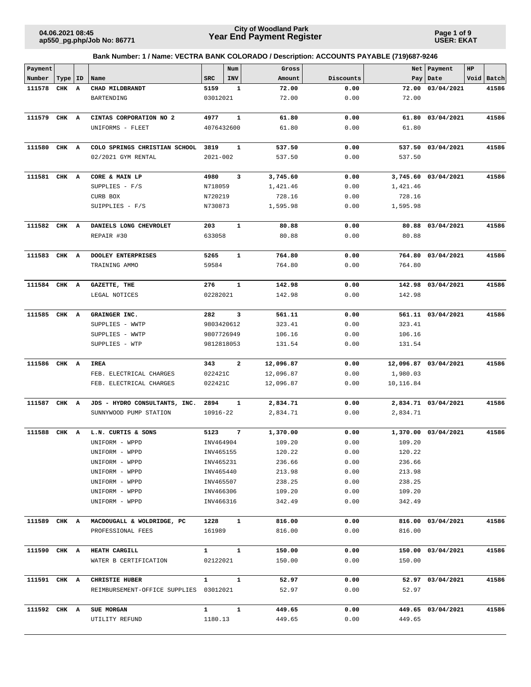**Page 1 of 9 USER: EKAT**

| Payment      |           |                                        |                        | Num          | Gross            |              |                  | Net   Payment        | HP |            |
|--------------|-----------|----------------------------------------|------------------------|--------------|------------------|--------------|------------------|----------------------|----|------------|
| Number       | Type   ID | Name                                   | SRC                    | INV          | Amount           | Discounts    | Pay              | Date                 |    | Void Batch |
| 111578       | CHK A     | CHAD MILDBRANDT                        | 5159                   | 1            | 72.00            | 0.00         | 72.00            | 03/04/2021           |    | 41586      |
|              |           | BARTENDING                             | 03012021               |              | 72.00            | 0.00         | 72.00            |                      |    |            |
|              |           |                                        |                        |              |                  |              |                  |                      |    |            |
| 111579       | CHK A     | CINTAS CORPORATION NO 2                | 4977                   | 1            | 61.80            | 0.00         | 61.80            | 03/04/2021           |    | 41586      |
|              |           | UNIFORMS - FLEET                       | 4076432600             |              | 61.80            | 0.00         | 61.80            |                      |    |            |
|              |           |                                        |                        |              |                  |              |                  |                      |    |            |
| 111580       | CHK A     | COLO SPRINGS CHRISTIAN SCHOOL          | 3819                   | $\mathbf{1}$ | 537.50           | 0.00         | 537.50           | 03/04/2021           |    | 41586      |
|              |           | 02/2021 GYM RENTAL                     | $2021 - 002$           |              | 537.50           | 0.00         | 537.50           |                      |    |            |
|              |           |                                        |                        |              |                  |              |                  |                      |    |            |
| 111581 CHK A |           | CORE & MAIN LP                         | 4980                   | 3            | 3,745.60         | 0.00         |                  | 3,745.60 03/04/2021  |    | 41586      |
|              |           | SUPPLIES - F/S                         | N718059                |              | 1,421.46         | 0.00         | 1,421.46         |                      |    |            |
|              |           | CURB BOX                               | N720219                |              | 728.16           | 0.00         | 728.16           |                      |    |            |
|              |           | SUIPPLIES - F/S                        | N730873                |              | 1,595.98         | 0.00         | 1,595.98         |                      |    |            |
|              |           |                                        |                        |              |                  |              |                  |                      |    |            |
| 111582 CHK A |           | DANIELS LONG CHEVROLET                 | 203                    | $\mathbf{1}$ | 80.88            | 0.00         |                  | 80.88 03/04/2021     |    | 41586      |
|              |           | REPAIR #30                             | 633058                 |              | 80.88            | 0.00         | 80.88            |                      |    |            |
|              |           |                                        |                        |              |                  |              |                  |                      |    |            |
| 111583 CHK A |           | <b>DOOLEY ENTERPRISES</b>              | 5265                   | 1            | 764.80           | 0.00         |                  | 764.80 03/04/2021    |    | 41586      |
|              |           | TRAINING AMMO                          | 59584                  |              | 764.80           | 0.00         | 764.80           |                      |    |            |
| 111584 CHK A |           | GAZETTE, THE                           | 276                    | $\mathbf{1}$ | 142.98           | 0.00         |                  | 142.98 03/04/2021    |    | 41586      |
|              |           | LEGAL NOTICES                          | 02282021               |              | 142.98           | 0.00         | 142.98           |                      |    |            |
|              |           |                                        |                        |              |                  |              |                  |                      |    |            |
| 111585 CHK A |           | GRAINGER INC.                          | 282                    | 3            | 561.11           | 0.00         |                  | 561.11 03/04/2021    |    | 41586      |
|              |           | SUPPLIES - WWTP                        | 9803420612             |              | 323.41           | 0.00         | 323.41           |                      |    |            |
|              |           | SUPPLIES - WWTP                        | 9807726949             |              | 106.16           | 0.00         | 106.16           |                      |    |            |
|              |           | SUPPLIES - WTP                         | 9812818053             |              | 131.54           | 0.00         | 131.54           |                      |    |            |
|              |           |                                        |                        |              |                  |              |                  |                      |    |            |
| 111586       | CHK A     | IREA                                   | 343                    | 2            | 12,096.87        | 0.00         |                  | 12,096.87 03/04/2021 |    | 41586      |
|              |           | FEB. ELECTRICAL CHARGES                | 022421C                |              | 12,096.87        | 0.00         | 1,980.03         |                      |    |            |
|              |           | FEB. ELECTRICAL CHARGES                | 022421C                |              | 12,096.87        | 0.00         | 10,116.84        |                      |    |            |
|              |           |                                        |                        |              |                  |              |                  |                      |    |            |
| 111587       | CHK A     | JDS - HYDRO CONSULTANTS, INC.          | 2894                   | 1            | 2,834.71         | 0.00         |                  | 2,834.71 03/04/2021  |    | 41586      |
|              |           | SUNNYWOOD PUMP STATION                 | 10916-22               |              | 2,834.71         | 0.00         | 2,834.71         |                      |    |            |
|              |           |                                        |                        |              |                  |              |                  |                      |    |            |
| 111588       | CHK A     | L.N. CURTIS & SONS                     | 5123                   | 7            | 1,370.00         | 0.00         | 1,370.00         | 03/04/2021           |    | 41586      |
|              |           | UNIFORM - WPPD                         | INV464904              |              | 109.20           | 0.00         | 109.20           |                      |    |            |
|              |           | UNIFORM - WPPD                         | INV465155              |              | 120.22           | 0.00         | 120.22           |                      |    |            |
|              |           | UNIFORM - WPPD<br>UNIFORM - WPPD       | INV465231              |              | 236.66           | 0.00         | 236.66           |                      |    |            |
|              |           | UNIFORM - WPPD                         | INV465440<br>INV465507 |              | 213.98<br>238.25 | 0.00<br>0.00 | 213.98<br>238.25 |                      |    |            |
|              |           | UNIFORM - WPPD                         | INV466306              |              | 109.20           | 0.00         | 109.20           |                      |    |            |
|              |           | UNIFORM - WPPD                         | INV466316              |              | 342.49           | 0.00         | 342.49           |                      |    |            |
|              |           |                                        |                        |              |                  |              |                  |                      |    |            |
| 111589 CHK A |           | MACDOUGALL & WOLDRIDGE, PC             | 1228                   | $\mathbf{1}$ | 816.00           | 0.00         |                  | 816.00 03/04/2021    |    | 41586      |
|              |           | PROFESSIONAL FEES                      | 161989                 |              | 816.00           | 0.00         | 816.00           |                      |    |            |
|              |           |                                        |                        |              |                  |              |                  |                      |    |            |
| 111590 CHK A |           | <b>HEATH CARGILL</b>                   | $\mathbf{1}$           | $\mathbf{1}$ | 150.00           | 0.00         |                  | 150.00 03/04/2021    |    | 41586      |
|              |           | WATER B CERTIFICATION                  | 02122021               |              | 150.00           | 0.00         | 150.00           |                      |    |            |
|              |           |                                        |                        |              |                  |              |                  |                      |    |            |
| 111591 CHK A |           | CHRISTIE HUBER                         | $\mathbf{1}$           | $\mathbf{1}$ | 52.97            | 0.00         |                  | 52.97 03/04/2021     |    | 41586      |
|              |           | REIMBURSEMENT-OFFICE SUPPLIES 03012021 |                        |              | 52.97            | 0.00         | 52.97            |                      |    |            |
|              |           |                                        |                        |              |                  |              |                  |                      |    |            |
| 111592 CHK A |           | <b>SUE MORGAN</b>                      | $\mathbf{1}$           | 1            | 449.65           | 0.00         |                  | 449.65 03/04/2021    |    | 41586      |
|              |           | UTILITY REFUND                         | 1180.13                |              | 449.65           | 0.00         | 449.65           |                      |    |            |
|              |           |                                        |                        |              |                  |              |                  |                      |    |            |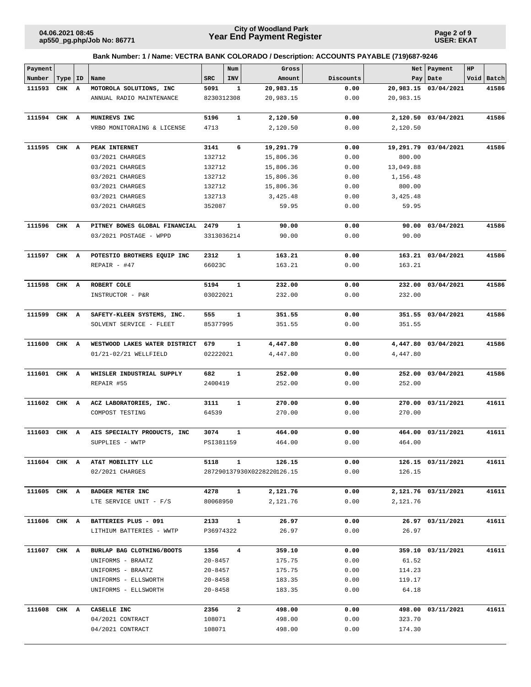**Page 2 of 9 USER: EKAT**

| Payment      |           |   |                               |             | Num            | Gross                      |           |           | Net   Payment        | HP |            |
|--------------|-----------|---|-------------------------------|-------------|----------------|----------------------------|-----------|-----------|----------------------|----|------------|
| Number       | Type   ID |   | Name                          | <b>SRC</b>  | INV            | Amount                     | Discounts |           | Pay   Date           |    | Void Batch |
| 111593       | CHK       | A | MOTOROLA SOLUTIONS, INC       | 5091        | 1              | 20,983.15                  | 0.00      |           | 20,983.15 03/04/2021 |    | 41586      |
|              |           |   | ANNUAL RADIO MAINTENANCE      | 8230312308  |                | 20,983.15                  | 0.00      | 20,983.15 |                      |    |            |
| 111594 CHK A |           |   | MUNIREVS INC                  | 5196        | $\mathbf{1}$   | 2,120.50                   | 0.00      | 2,120.50  | 03/04/2021           |    | 41586      |
|              |           |   | VRBO MONITORAING & LICENSE    | 4713        |                | 2,120.50                   | 0.00      | 2,120.50  |                      |    |            |
|              |           |   |                               |             |                |                            |           |           |                      |    |            |
| 111595 CHK A |           |   | PEAK INTERNET                 | 3141        | 6              | 19,291.79                  | 0.00      | 19,291.79 | 03/04/2021           |    | 41586      |
|              |           |   | 03/2021 CHARGES               | 132712      |                | 15,806.36                  | 0.00      | 800.00    |                      |    |            |
|              |           |   | 03/2021 CHARGES               | 132712      |                | 15,806.36                  | 0.00      | 13,049.88 |                      |    |            |
|              |           |   | 03/2021 CHARGES               | 132712      |                | 15,806.36                  | 0.00      | 1,156.48  |                      |    |            |
|              |           |   | 03/2021 CHARGES               | 132712      |                | 15,806.36                  | 0.00      | 800.00    |                      |    |            |
|              |           |   | 03/2021 CHARGES               | 132713      |                | 3,425.48                   | 0.00      | 3,425.48  |                      |    |            |
|              |           |   | 03/2021 CHARGES               | 352087      |                | 59.95                      | 0.00      | 59.95     |                      |    |            |
| 111596 CHK A |           |   | PITNEY BOWES GLOBAL FINANCIAL | 2479        | 1              | 90.00                      | 0.00      | 90.00     | 03/04/2021           |    | 41586      |
|              |           |   | 03/2021 POSTAGE - WPPD        | 3313036214  |                | 90.00                      | 0.00      | 90.00     |                      |    |            |
|              |           |   |                               |             |                |                            |           |           |                      |    |            |
| 111597 CHK A |           |   | POTESTIO BROTHERS EQUIP INC   | 2312        | $\mathbf{1}$   | 163.21                     | 0.00      |           | 163.21 03/04/2021    |    | 41586      |
|              |           |   | REPAIR $-$ #47                | 66023C      |                | 163.21                     | 0.00      | 163.21    |                      |    |            |
| 111598       | CHK A     |   | ROBERT COLE                   | 5194        | $\mathbf{1}$   | 232.00                     | 0.00      |           | 232.00 03/04/2021    |    | 41586      |
|              |           |   |                               | 03022021    |                |                            | 0.00      | 232.00    |                      |    |            |
|              |           |   | INSTRUCTOR - P&R              |             |                | 232.00                     |           |           |                      |    |            |
| 111599       | CHK A     |   | SAFETY-KLEEN SYSTEMS, INC.    | 555         | $\mathbf{1}$   | 351.55                     | 0.00      |           | 351.55 03/04/2021    |    | 41586      |
|              |           |   | SOLVENT SERVICE - FLEET       | 85377995    |                | 351.55                     | 0.00      | 351.55    |                      |    |            |
|              |           |   |                               |             |                |                            |           |           |                      |    |            |
| 111600       | CHK A     |   | WESTWOOD LAKES WATER DISTRICT | 679         | $\mathbf{1}$   | 4,447.80                   | 0.00      |           | 4,447.80 03/04/2021  |    | 41586      |
|              |           |   | 01/21-02/21 WELLFIELD         | 02222021    |                | 4,447.80                   | 0.00      | 4,447.80  |                      |    |            |
|              |           |   |                               |             |                |                            |           |           |                      |    |            |
| 111601       | CHK A     |   | WHISLER INDUSTRIAL SUPPLY     | 682         | $\mathbf{1}$   | 252.00                     | 0.00      | 252.00    | 03/04/2021           |    | 41586      |
|              |           |   | REPAIR #55                    | 2400419     |                | 252.00                     | 0.00      | 252.00    |                      |    |            |
| 111602       | CHK       | A | ACZ LABORATORIES, INC.        | 3111        | $\mathbf{1}$   | 270.00                     | 0.00      | 270.00    | 03/11/2021           |    | 41611      |
|              |           |   | COMPOST TESTING               | 64539       |                | 270.00                     | 0.00      | 270.00    |                      |    |            |
|              |           |   |                               |             |                |                            |           |           |                      |    |            |
| 111603       | CHK A     |   | AIS SPECIALTY PRODUCTS, INC   | 3074        | 1              | 464.00                     | 0.00      | 464.00    | 03/11/2021           |    | 41611      |
|              |           |   | SUPPLIES - WWTP               | PSI381159   |                | 464.00                     | 0.00      | 464.00    |                      |    |            |
|              |           |   |                               |             |                |                            |           |           |                      |    |            |
| 111604 CHK A |           |   | AT&T MOBILITY LLC             | 5118        | $\mathbf{1}$   | 126.15                     | 0.00      |           | 126.15 03/11/2021    |    | 41611      |
|              |           |   | 02/2021 CHARGES               |             |                | 287290137930X0228220126.15 | 0.00      | 126.15    |                      |    |            |
| 111605 CHK A |           |   | BADGER METER INC              | 4278        | $\mathbf{1}$   | 2,121.76                   | 0.00      |           | 2,121.76 03/11/2021  |    | 41611      |
|              |           |   | LTE SERVICE UNIT - F/S        | 80068950    |                | 2,121.76                   | 0.00      | 2,121.76  |                      |    |            |
|              |           |   |                               |             |                |                            |           |           |                      |    |            |
| 111606 CHK A |           |   | BATTERIES PLUS - 091          | 2133        | $\mathbf{1}$   | 26.97                      | 0.00      |           | 26.97 03/11/2021     |    | 41611      |
|              |           |   | LITHIUM BATTERIES - WWTP      | P36974322   |                | 26.97                      | 0.00      | 26.97     |                      |    |            |
|              |           |   |                               |             |                |                            |           |           |                      |    |            |
| 111607 CHK A |           |   | BURLAP BAG CLOTHING/BOOTS     | 1356        | $4\phantom{1}$ | 359.10                     | 0.00      |           | 359.10 03/11/2021    |    | 41611      |
|              |           |   | UNIFORMS - BRAATZ             | $20 - 8457$ |                | 175.75                     | 0.00      | 61.52     |                      |    |            |
|              |           |   | UNIFORMS - BRAATZ             | $20 - 8457$ |                | 175.75                     | 0.00      | 114.23    |                      |    |            |
|              |           |   | UNIFORMS - ELLSWORTH          | $20 - 8458$ |                | 183.35                     | 0.00      | 119.17    |                      |    |            |
|              |           |   | UNIFORMS - ELLSWORTH          | $20 - 8458$ |                | 183.35                     | 0.00      | 64.18     |                      |    |            |
| 111608 CHK A |           |   | CASELLE INC                   | 2356        | $\overline{a}$ | 498.00                     | 0.00      |           | 498.00 03/11/2021    |    | 41611      |
|              |           |   | 04/2021 CONTRACT              | 108071      |                | 498.00                     | 0.00      | 323.70    |                      |    |            |
|              |           |   | 04/2021 CONTRACT              | 108071      |                | 498.00                     | 0.00      | 174.30    |                      |    |            |
|              |           |   |                               |             |                |                            |           |           |                      |    |            |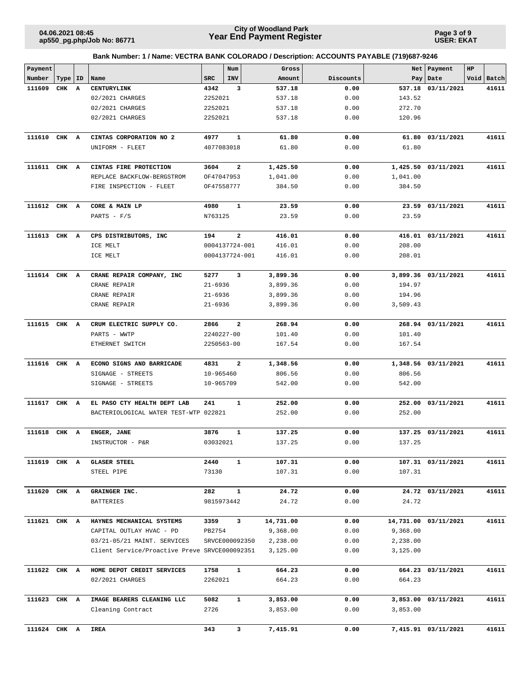**Page 3 of 9 USER: EKAT**

| Payment      |           |                                               |             | Num                     | Gross     |           | Net      | Payment              | HP |            |
|--------------|-----------|-----------------------------------------------|-------------|-------------------------|-----------|-----------|----------|----------------------|----|------------|
| Number       | Type   ID | Name                                          | <b>SRC</b>  | <b>INV</b>              | Amount    | Discounts | Pay      | Date                 |    | Void Batch |
| 111609       | CHK A     | CENTURYLINK                                   | 4342        | 3                       | 537.18    | 0.00      | 537.18   | 03/11/2021           |    | 41611      |
|              |           | 02/2021 CHARGES                               | 2252021     |                         | 537.18    | 0.00      | 143.52   |                      |    |            |
|              |           | 02/2021 CHARGES                               | 2252021     |                         | 537.18    | 0.00      | 272.70   |                      |    |            |
|              |           | 02/2021 CHARGES                               | 2252021     |                         | 537.18    | 0.00      | 120.96   |                      |    |            |
|              |           |                                               |             |                         |           |           |          |                      |    |            |
| 111610       | CHK A     | CINTAS CORPORATION NO 2                       | 4977        | $\mathbf{1}$            | 61.80     | 0.00      | 61.80    | 03/11/2021           |    | 41611      |
|              |           | UNIFORM - FLEET                               | 4077083018  |                         | 61.80     | 0.00      | 61.80    |                      |    |            |
|              |           |                                               |             |                         |           |           |          |                      |    |            |
| 111611 CHK A |           | CINTAS FIRE PROTECTION                        | 3604        | 2                       | 1,425.50  | 0.00      |          | 1,425.50 03/11/2021  |    | 41611      |
|              |           | REPLACE BACKFLOW-BERGSTROM                    | OF47047953  |                         | 1,041.00  | 0.00      | 1,041.00 |                      |    |            |
|              |           | FIRE INSPECTION - FLEET                       | OF47558777  |                         | 384.50    | 0.00      | 384.50   |                      |    |            |
|              |           |                                               |             |                         |           |           |          |                      |    |            |
| 111612 CHK A |           | CORE & MAIN LP                                | 4980        | $\mathbf{1}$            | 23.59     | 0.00      |          | 23.59 03/11/2021     |    | 41611      |
|              |           | PARTS - $F/S$                                 | N763125     |                         | 23.59     | 0.00      | 23.59    |                      |    |            |
|              |           |                                               |             |                         |           |           |          |                      |    |            |
| 111613       | CHK A     | CPS DISTRIBUTORS, INC                         | 194         | $\overline{\mathbf{2}}$ | 416.01    | 0.00      |          | 416.01 03/11/2021    |    | 41611      |
|              |           | ICE MELT                                      |             | 0004137724-001          | 416.01    | 0.00      | 208.00   |                      |    |            |
|              |           | ICE MELT                                      |             | 0004137724-001          | 416.01    | 0.00      | 208.01   |                      |    |            |
|              |           |                                               |             |                         |           |           |          |                      |    |            |
| 111614 CHK A |           | CRANE REPAIR COMPANY, INC                     | 5277        | 3                       | 3,899.36  | 0.00      |          | 3,899.36 03/11/2021  |    | 41611      |
|              |           | CRANE REPAIR                                  | $21 - 6936$ |                         | 3,899.36  | 0.00      | 194.97   |                      |    |            |
|              |           | CRANE REPAIR                                  | $21 - 6936$ |                         | 3,899.36  | 0.00      | 194.96   |                      |    |            |
|              |           | CRANE REPAIR                                  | $21 - 6936$ |                         | 3,899.36  | 0.00      | 3,509.43 |                      |    |            |
|              |           |                                               |             |                         |           |           |          |                      |    |            |
| 111615       | CHK A     | CRUM ELECTRIC SUPPLY CO.                      | 2866        | $\overline{\mathbf{2}}$ | 268.94    | 0.00      |          | 268.94 03/11/2021    |    | 41611      |
|              |           | PARTS - WWTP                                  | 2240227-00  |                         | 101.40    | 0.00      | 101.40   |                      |    |            |
|              |           | ETHERNET SWITCH                               | 2250563-00  |                         | 167.54    | 0.00      | 167.54   |                      |    |            |
|              |           |                                               |             |                         |           |           |          |                      |    |            |
| 111616       | CHK A     | ECONO SIGNS AND BARRICADE                     | 4831        | 2                       | 1,348.56  | 0.00      |          | 1,348.56 03/11/2021  |    | 41611      |
|              |           | SIGNAGE - STREETS                             | 10-965460   |                         | 806.56    | 0.00      | 806.56   |                      |    |            |
|              |           | SIGNAGE - STREETS                             | 10-965709   |                         | 542.00    | 0.00      | 542.00   |                      |    |            |
|              |           |                                               |             |                         |           |           |          |                      |    |            |
| 111617       | CHK A     | EL PASO CTY HEALTH DEPT LAB                   | 241         | $\mathbf{1}$            | 252.00    | 0.00      | 252.00   | 03/11/2021           |    | 41611      |
|              |           | BACTERIOLOGICAL WATER TEST-WTP 022821         |             |                         | 252.00    | 0.00      | 252.00   |                      |    |            |
|              |           |                                               |             |                         |           |           |          |                      |    |            |
| 111618       | CHK A     | ENGER, JANE                                   | 3876        | $\mathbf{1}$            | 137.25    | 0.00      |          | 137.25 03/11/2021    |    | 41611      |
|              |           | INSTRUCTOR - P&R                              | 03032021    |                         | 137.25    | 0.00      | 137.25   |                      |    |            |
|              |           |                                               |             |                         |           |           |          |                      |    |            |
| 111619 CHK A |           | <b>GLASER STEEL</b>                           | 2440        | 1                       | 107.31    | 0.00      |          | 107.31 03/11/2021    |    | 41611      |
|              |           | STEEL PIPE                                    | 73130       |                         | 107.31    | 0.00      | 107.31   |                      |    |            |
|              |           |                                               |             |                         |           |           |          |                      |    |            |
| 111620 CHK A |           | GRAINGER INC.                                 | 282         | $\mathbf{1}$            | 24.72     | 0.00      |          | 24.72 03/11/2021     |    | 41611      |
|              |           | BATTERIES                                     | 9815973442  |                         | 24.72     | 0.00      | 24.72    |                      |    |            |
|              |           |                                               |             |                         |           |           |          |                      |    |            |
| 111621 CHK A |           | HAYNES MECHANICAL SYSTEMS                     | 3359        | 3                       | 14,731.00 | 0.00      |          | 14,731.00 03/11/2021 |    | 41611      |
|              |           | CAPITAL OUTLAY HVAC - PD                      | PB2754      |                         | 9,368.00  | 0.00      | 9,368.00 |                      |    |            |
|              |           | 03/21-05/21 MAINT. SERVICES                   |             | SRVCE000092350          | 2,238.00  | 0.00      | 2,238.00 |                      |    |            |
|              |           | Client Service/Proactive Preve SRVCE000092351 |             |                         | 3,125.00  | 0.00      | 3,125.00 |                      |    |            |
|              |           |                                               |             |                         |           |           |          |                      |    |            |
| 111622 CHK A |           | HOME DEPOT CREDIT SERVICES                    | 1758        | $\mathbf{1}$            | 664.23    | 0.00      |          | 664.23 03/11/2021    |    | 41611      |
|              |           | 02/2021 CHARGES                               | 2262021     |                         | 664.23    | 0.00      | 664.23   |                      |    |            |
|              |           |                                               |             |                         |           |           |          |                      |    |            |
| 111623 CHK A |           | IMAGE BEARERS CLEANING LLC                    | 5082        | $\mathbf{1}$            | 3,853.00  | 0.00      |          | 3,853.00 03/11/2021  |    | 41611      |
|              |           | Cleaning Contract                             | 2726        |                         | 3,853.00  | 0.00      | 3,853.00 |                      |    |            |
|              |           |                                               |             |                         |           |           |          |                      |    |            |
| 111624 CHK A |           | <b>IREA</b>                                   | 343         | 3                       | 7,415.91  | 0.00      |          | 7,415.91 03/11/2021  |    | 41611      |
|              |           |                                               |             |                         |           |           |          |                      |    |            |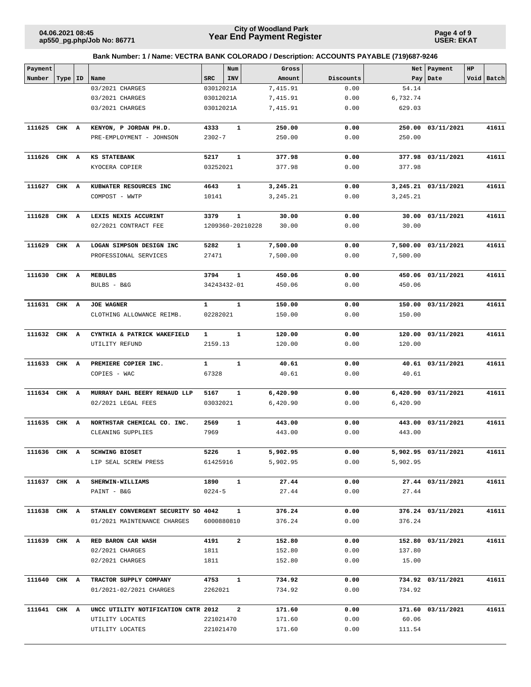**Page 4 of 9 USER: EKAT**

| Payment      |       |    |                                     |              | Num          |                  | Gross    |           | Net      | Payment             | HP |            |
|--------------|-------|----|-------------------------------------|--------------|--------------|------------------|----------|-----------|----------|---------------------|----|------------|
| Number       | Type  | ID | Name                                | <b>SRC</b>   | INV          |                  | Amount   | Discounts | Pay      | Date                |    | Void Batch |
|              |       |    | 03/2021 CHARGES                     | 03012021A    |              |                  | 7,415.91 | 0.00      | 54.14    |                     |    |            |
|              |       |    | 03/2021 CHARGES                     | 03012021A    |              |                  | 7,415.91 | 0.00      | 6,732.74 |                     |    |            |
|              |       |    | 03/2021 CHARGES                     | 03012021A    |              |                  | 7,415.91 | 0.00      | 629.03   |                     |    |            |
| 111625 CHK A |       |    | KENYON, P JORDAN PH.D.              | 4333         | $\mathbf 1$  |                  | 250.00   | 0.00      | 250.00   | 03/11/2021          |    | 41611      |
|              |       |    | PRE-EMPLOYMENT - JOHNSON            | $2302 - 7$   |              |                  | 250.00   | 0.00      | 250.00   |                     |    |            |
|              |       |    |                                     |              |              |                  |          |           |          |                     |    |            |
| 111626       | CHK A |    | <b>KS STATEBANK</b>                 | 5217         | $\mathbf 1$  |                  | 377.98   | 0.00      |          | 377.98 03/11/2021   |    | 41611      |
|              |       |    | KYOCERA COPIER                      | 03252021     |              |                  | 377.98   | 0.00      | 377.98   |                     |    |            |
| 111627       | CHK A |    | KUBWATER RESOURCES INC              | 4643         | $\mathbf{1}$ |                  | 3,245.21 | 0.00      |          | 3,245.21 03/11/2021 |    | 41611      |
|              |       |    | COMPOST - WWTP                      | 10141        |              |                  | 3,245.21 | 0.00      | 3,245.21 |                     |    |            |
| 111628       | CHK A |    | LEXIS NEXIS ACCURINT                | 3379         | $\mathbf{1}$ |                  | 30.00    | 0.00      |          | 30.00 03/11/2021    |    | 41611      |
|              |       |    | 02/2021 CONTRACT FEE                |              |              | 1209360-20210228 | 30.00    | 0.00      | 30.00    |                     |    |            |
| 111629       | CHK A |    | LOGAN SIMPSON DESIGN INC            | 5282         | 1            |                  | 7,500.00 | 0.00      |          | 7,500.00 03/11/2021 |    | 41611      |
|              |       |    | PROFESSIONAL SERVICES               | 27471        |              |                  | 7,500.00 | 0.00      | 7,500.00 |                     |    |            |
| 111630       | CHK A |    | <b>MEBULBS</b>                      | 3794         | $\mathbf{1}$ |                  | 450.06   | 0.00      |          | 450.06 03/11/2021   |    | 41611      |
|              |       |    | BULBS - B&G                         | 34243432-01  |              |                  | 450.06   | 0.00      | 450.06   |                     |    |            |
|              |       |    |                                     |              |              |                  |          |           |          |                     |    |            |
| 111631 CHK A |       |    | <b>JOE WAGNER</b>                   | $\mathbf{1}$ | $\mathbf{1}$ |                  | 150.00   | 0.00      |          | 150.00 03/11/2021   |    | 41611      |
|              |       |    | CLOTHING ALLOWANCE REIMB.           | 02282021     |              |                  | 150.00   | 0.00      | 150.00   |                     |    |            |
| 111632 CHK A |       |    | CYNTHIA & PATRICK WAKEFIELD         | $\mathbf{1}$ | $\mathbf{1}$ |                  | 120.00   | 0.00      |          | 120.00 03/11/2021   |    | 41611      |
|              |       |    | UTILITY REFUND                      | 2159.13      |              |                  | 120.00   | 0.00      | 120.00   |                     |    |            |
| 111633       | CHK A |    | PREMIERE COPIER INC.                | $\mathbf{1}$ | $\mathbf{1}$ |                  | 40.61    | 0.00      |          | 40.61 03/11/2021    |    | 41611      |
|              |       |    | COPIES - WAC                        | 67328        |              |                  | 40.61    | 0.00      | 40.61    |                     |    |            |
|              |       |    |                                     |              |              |                  |          |           |          |                     |    |            |
| 111634       | CHK A |    | MURRAY DAHL BEERY RENAUD LLP        | 5167         | $\mathbf 1$  |                  | 6,420.90 | 0.00      |          | 6,420.90 03/11/2021 |    | 41611      |
|              |       |    | 02/2021 LEGAL FEES                  | 03032021     |              |                  | 6,420.90 | 0.00      | 6,420.90 |                     |    |            |
| 111635       | CHK A |    | NORTHSTAR CHEMICAL CO. INC.         | 2569         | $\mathbf{1}$ |                  | 443.00   | 0.00      |          | 443.00 03/11/2021   |    | 41611      |
|              |       |    | CLEANING SUPPLIES                   | 7969         |              |                  | 443.00   | 0.00      | 443.00   |                     |    |            |
|              |       |    |                                     |              |              |                  |          |           |          |                     |    |            |
|              |       |    | 111636 CHK A SCHWING BIOSET         | 5226 1       |              |                  | 5,902.95 | 0.00      |          | 5,902.95 03/11/2021 |    | 41611      |
|              |       |    | LIP SEAL SCREW PRESS                | 61425916     |              |                  | 5,902.95 | 0.00      | 5,902.95 |                     |    |            |
| 111637 CHK A |       |    | <b>SHERWIN-WILLIAMS</b>             | 1890         | $\mathbf{1}$ |                  | 27.44    | 0.00      |          | 27.44 03/11/2021    |    | 41611      |
|              |       |    | PAINT - B&G                         | $0224 - 5$   |              |                  | 27.44    | 0.00      | 27.44    |                     |    |            |
| 111638 CHK A |       |    | STANLEY CONVERGENT SECURITY SO 4042 |              | $\mathbf{1}$ |                  | 376.24   | 0.00      |          | 376.24 03/11/2021   |    | 41611      |
|              |       |    | 01/2021 MAINTENANCE CHARGES         | 6000880810   |              |                  | 376.24   | 0.00      | 376.24   |                     |    |            |
|              |       |    |                                     |              |              |                  |          |           |          |                     |    |            |
| 111639 CHK A |       |    | RED BARON CAR WASH                  | 4191         | $\mathbf{2}$ |                  | 152.80   | 0.00      |          | 152.80 03/11/2021   |    | 41611      |
|              |       |    | 02/2021 CHARGES                     | 1811         |              |                  | 152.80   | 0.00      | 137.80   |                     |    |            |
|              |       |    | 02/2021 CHARGES                     | 1811         |              |                  | 152.80   | 0.00      | 15.00    |                     |    |            |
| 111640 CHK A |       |    | TRACTOR SUPPLY COMPANY              | 4753         | $\mathbf{1}$ |                  | 734.92   | 0.00      |          | 734.92 03/11/2021   |    | 41611      |
|              |       |    | 01/2021-02/2021 CHARGES             | 2262021      |              |                  | 734.92   | 0.00      | 734.92   |                     |    |            |
| 111641 CHK A |       |    | UNCC UTILITY NOTIFICATION CNTR 2012 |              | $\mathbf{2}$ |                  | 171.60   | 0.00      |          | 171.60 03/11/2021   |    | 41611      |
|              |       |    | UTILITY LOCATES                     | 221021470    |              |                  | 171.60   | 0.00      | 60.06    |                     |    |            |
|              |       |    | UTILITY LOCATES                     | 221021470    |              |                  | 171.60   | 0.00      | 111.54   |                     |    |            |
|              |       |    |                                     |              |              |                  |          |           |          |                     |    |            |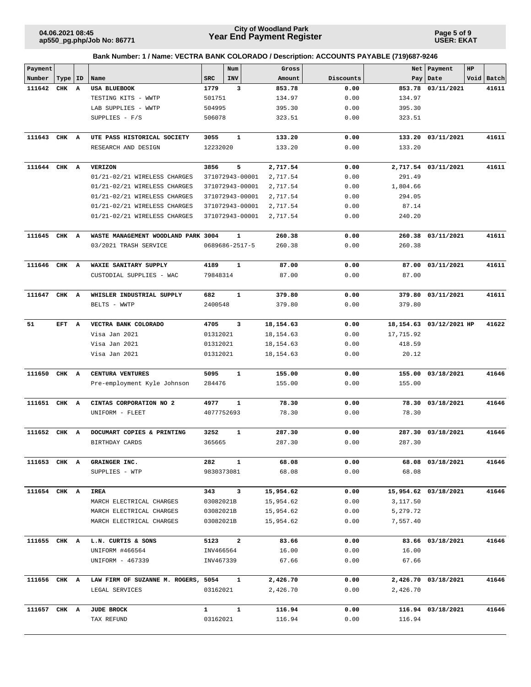**ap550\_pg.php/Job No: 86771**

### **Year End Payment Register City of Woodland Park 04.06.2021 08:45**

**Page 5 of 9 USER: EKAT**

| Payment      |       |    |                                     |            | Num             | Gross      |           | Net       | Payment                 | HP |            |
|--------------|-------|----|-------------------------------------|------------|-----------------|------------|-----------|-----------|-------------------------|----|------------|
| Number       | Type  | ID | Name                                | <b>SRC</b> | <b>INV</b>      | Amount     | Discounts | Pay       | Date                    |    | Void Batch |
| 111642       | CHK   | A  | <b>USA BLUEBOOK</b>                 | 1779       | 3               | 853.78     | 0.00      | 853.78    | 03/11/2021              |    | 41611      |
|              |       |    | TESTING KITS - WWTP                 | 501751     |                 | 134.97     | 0.00      | 134.97    |                         |    |            |
|              |       |    | LAB SUPPLIES - WWTP                 | 504995     |                 | 395.30     | 0.00      | 395.30    |                         |    |            |
|              |       |    | SUPPLIES - F/S                      | 506078     |                 | 323.51     | 0.00      | 323.51    |                         |    |            |
| 111643       | CHK A |    | UTE PASS HISTORICAL SOCIETY         | 3055       | $\mathbf 1$     | 133.20     | 0.00      | 133.20    | 03/11/2021              |    | 41611      |
|              |       |    | RESEARCH AND DESIGN                 | 12232020   |                 | 133.20     | 0.00      | 133.20    |                         |    |            |
| 111644 CHK A |       |    | <b>VERIZON</b>                      | 3856       | 5               | 2,717.54   | 0.00      |           | 2,717.54 03/11/2021     |    | 41611      |
|              |       |    | 01/21-02/21 WIRELESS CHARGES        |            | 371072943-00001 | 2,717.54   | 0.00      | 291.49    |                         |    |            |
|              |       |    | 01/21-02/21 WIRELESS CHARGES        |            | 371072943-00001 | 2,717.54   | 0.00      | 1,804.66  |                         |    |            |
|              |       |    | 01/21-02/21 WIRELESS CHARGES        |            | 371072943-00001 | 2,717.54   | 0.00      | 294.05    |                         |    |            |
|              |       |    | 01/21-02/21 WIRELESS CHARGES        |            | 371072943-00001 | 2,717.54   | 0.00      | 87.14     |                         |    |            |
|              |       |    | 01/21-02/21 WIRELESS CHARGES        |            | 371072943-00001 | 2,717.54   | 0.00      | 240.20    |                         |    |            |
| 111645       | CHK   | A  | WASTE MANAGEMENT WOODLAND PARK 3004 |            | 1               | 260.38     | 0.00      |           | 260.38 03/11/2021       |    | 41611      |
|              |       |    | 03/2021 TRASH SERVICE               |            | 0689686-2517-5  | 260.38     | 0.00      | 260.38    |                         |    |            |
| 111646 CHK A |       |    | WAXIE SANITARY SUPPLY               | 4189       | 1               | 87.00      | 0.00      |           | 87.00 03/11/2021        |    | 41611      |
|              |       |    | CUSTODIAL SUPPLIES - WAC            | 79848314   |                 | 87.00      | 0.00      | 87.00     |                         |    |            |
| 111647       | CHK A |    | WHISLER INDUSTRIAL SUPPLY           | 682        | $\mathbf 1$     | 379.80     | 0.00      |           | 379.80 03/11/2021       |    | 41611      |
|              |       |    | BELTS - WWTP                        | 2400548    |                 | 379.80     | 0.00      | 379.80    |                         |    |            |
| 51           | EFT   | A  | VECTRA BANK COLORADO                | 4705       | 3               | 18,154.63  | 0.00      |           | 18,154.63 03/12/2021 HP |    | 41622      |
|              |       |    | Visa Jan 2021                       | 01312021   |                 | 18, 154.63 | 0.00      | 17,715.92 |                         |    |            |
|              |       |    | Visa Jan 2021                       | 01312021   |                 | 18, 154.63 | 0.00      | 418.59    |                         |    |            |
|              |       |    | Visa Jan 2021                       | 01312021   |                 | 18,154.63  | 0.00      | 20.12     |                         |    |            |
| 111650       | CHK   | A  | CENTURA VENTURES                    | 5095       | 1               | 155.00     | 0.00      |           | 155.00 03/18/2021       |    | 41646      |
|              |       |    | Pre-employment Kyle Johnson         | 284476     |                 | 155.00     | 0.00      | 155.00    |                         |    |            |
| 111651       | CHK   | A  | CINTAS CORPORATION NO 2             | 4977       | $\mathbf 1$     | 78.30      | 0.00      | 78.30     | 03/18/2021              |    | 41646      |
|              |       |    | UNIFORM - FLEET                     | 4077752693 |                 | 78.30      | 0.00      | 78.30     |                         |    |            |
| 111652       | CHK A |    | DOCUMART COPIES & PRINTING          | 3252       | $\mathbf 1$     | 287.30     | 0.00      | 287.30    | 03/18/2021              |    | 41646      |
|              |       |    | BIRTHDAY CARDS                      | 365665     |                 | 287.30     | 0.00      | 287.30    |                         |    |            |
| 111653 CHK A |       |    | GRAINGER INC.                       | 282        | 1               | 68.08      | 0.00      |           | 68.08 03/18/2021        |    | 41646      |
|              |       |    | SUPPLIES - WTP                      | 9830373081 |                 | 68.08      | 0.00      | 68.08     |                         |    |            |
| 111654 CHK A |       |    | IREA                                | 343        | 3               | 15,954.62  | 0.00      |           | 15,954.62 03/18/2021    |    | 41646      |
|              |       |    | MARCH ELECTRICAL CHARGES            | 03082021B  |                 | 15,954.62  | 0.00      | 3,117.50  |                         |    |            |
|              |       |    | MARCH ELECTRICAL CHARGES            | 03082021B  |                 | 15,954.62  | 0.00      | 5,279.72  |                         |    |            |
|              |       |    | MARCH ELECTRICAL CHARGES            | 03082021B  |                 | 15,954.62  | 0.00      | 7,557.40  |                         |    |            |
| 111655 CHK A |       |    | L.N. CURTIS & SONS                  | 5123       | 2               | 83.66      | 0.00      |           | 83.66 03/18/2021        |    | 41646      |
|              |       |    | UNIFORM #466564                     | INV466564  |                 | 16.00      | 0.00      | 16.00     |                         |    |            |
|              |       |    | UNIFORM - 467339                    | INV467339  |                 | 67.66      | 0.00      | 67.66     |                         |    |            |
| 111656 CHK A |       |    | LAW FIRM OF SUZANNE M. ROGERS, 5054 |            | $\mathbf{1}$    | 2,426.70   | 0.00      |           | 2,426.70 03/18/2021     |    | 41646      |
|              |       |    | LEGAL SERVICES                      | 03162021   |                 | 2,426.70   | 0.00      | 2,426.70  |                         |    |            |
| 111657 CHK A |       |    | <b>JUDE BROCK</b>                   | 1          | $\mathbf{1}$    | 116.94     | 0.00      |           | 116.94 03/18/2021       |    | 41646      |
|              |       |    | TAX REFUND                          | 03162021   |                 | 116.94     | 0.00      | 116.94    |                         |    |            |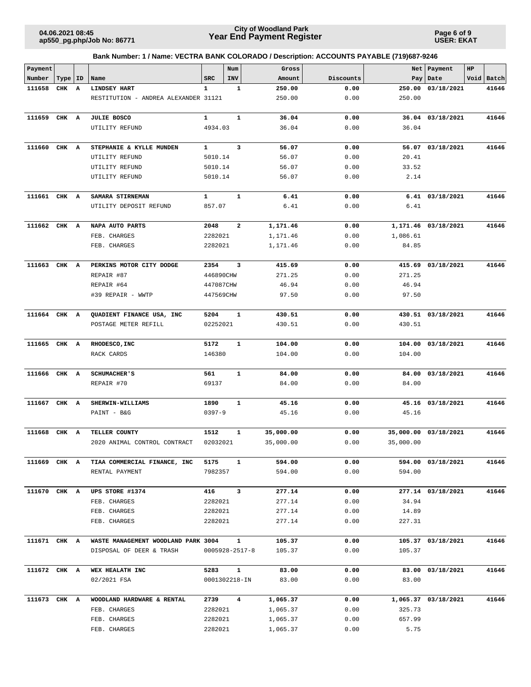**Page 6 of 9 USER: EKAT**

| Payment      |           |   |                                      |              | Num                     | Gross     |           | Net       | Payment             | HP |            |
|--------------|-----------|---|--------------------------------------|--------------|-------------------------|-----------|-----------|-----------|---------------------|----|------------|
| Number       | Type   ID |   | Name                                 | <b>SRC</b>   | INV                     | Amount    | Discounts | Pay       | Date                |    | Void Batch |
| 111658       | CHK A     |   | <b>LINDSEY HART</b>                  | $\mathbf{1}$ | $\mathbf 1$             | 250.00    | 0.00      | 250.00    | 03/18/2021          |    | 41646      |
|              |           |   | RESTITUTION - ANDREA ALEXANDER 31121 |              |                         | 250.00    | 0.00      | 250.00    |                     |    |            |
|              |           |   |                                      |              |                         |           |           |           |                     |    |            |
| 111659       | CHK A     |   | <b>JULIE BOSCO</b>                   | $\mathbf{1}$ | $\mathbf{1}$            | 36.04     | 0.00      |           | 36.04 03/18/2021    |    | 41646      |
|              |           |   | UTILITY REFUND                       | 4934.03      |                         | 36.04     | 0.00      | 36.04     |                     |    |            |
|              |           |   |                                      |              |                         |           |           |           |                     |    |            |
| 111660       | CHK A     |   | STEPHANIE & KYLLE MUNDEN             | $\mathbf{1}$ | 3                       | 56.07     | 0.00      | 56.07     | 03/18/2021          |    | 41646      |
|              |           |   | UTILITY REFUND                       | 5010.14      |                         | 56.07     | 0.00      | 20.41     |                     |    |            |
|              |           |   | UTILITY REFUND                       | 5010.14      |                         | 56.07     | 0.00      | 33.52     |                     |    |            |
|              |           |   | UTILITY REFUND                       | 5010.14      |                         | 56.07     | 0.00      | 2.14      |                     |    |            |
|              |           |   |                                      |              |                         |           |           |           |                     |    |            |
| 111661 CHK A |           |   | SAMARA STIRNEMAN                     | 1            | $\mathbf{1}$            | 6.41      | 0.00      |           | $6.41$ $03/18/2021$ |    | 41646      |
|              |           |   | UTILITY DEPOSIT REFUND               | 857.07       |                         | 6.41      | 0.00      | 6.41      |                     |    |            |
| 111662       | CHK A     |   | NAPA AUTO PARTS                      | 2048         | $\overline{\mathbf{2}}$ | 1,171.46  | 0.00      |           | 1,171.46 03/18/2021 |    | 41646      |
|              |           |   | FEB. CHARGES                         | 2282021      |                         | 1,171.46  | 0.00      | 1,086.61  |                     |    |            |
|              |           |   | FEB. CHARGES                         | 2282021      |                         | 1,171.46  | 0.00      | 84.85     |                     |    |            |
|              |           |   |                                      |              |                         |           |           |           |                     |    |            |
| 111663 CHK A |           |   | PERKINS MOTOR CITY DODGE             | 2354         | 3                       | 415.69    | 0.00      |           | 415.69 03/18/2021   |    | 41646      |
|              |           |   | REPAIR #87                           | 446890CHW    |                         | 271.25    | 0.00      | 271.25    |                     |    |            |
|              |           |   | REPAIR #64                           | 447087CHW    |                         | 46.94     | 0.00      | 46.94     |                     |    |            |
|              |           |   | #39 REPAIR - WWTP                    | 447569CHW    |                         | 97.50     | 0.00      | 97.50     |                     |    |            |
|              |           |   |                                      |              |                         |           |           |           |                     |    |            |
| 111664 CHK A |           |   | QUADIENT FINANCE USA, INC            | 5204         | $\mathbf 1$             | 430.51    | 0.00      |           | 430.51 03/18/2021   |    | 41646      |
|              |           |   | POSTAGE METER REFILL                 | 02252021     |                         | 430.51    | 0.00      | 430.51    |                     |    |            |
|              |           |   |                                      |              |                         |           |           |           |                     |    |            |
| 111665 CHK A |           |   | RHODESCO, INC                        | 5172         | $\mathbf 1$             | 104.00    | 0.00      | 104.00    | 03/18/2021          |    | 41646      |
|              |           |   | RACK CARDS                           | 146380       |                         | 104.00    | 0.00      | 104.00    |                     |    |            |
|              |           |   |                                      |              |                         |           |           |           |                     |    |            |
| 111666       | CHK       | A | <b>SCHUMACHER'S</b>                  | 561          | 1                       | 84.00     | 0.00      | 84.00     | 03/18/2021          |    | 41646      |
|              |           |   | REPAIR #70                           | 69137        |                         | 84.00     | 0.00      | 84.00     |                     |    |            |
|              |           |   |                                      |              |                         |           |           |           |                     |    |            |
| 111667       | CHK A     |   | SHERWIN-WILLIAMS                     | 1890         | $\mathbf 1$             | 45.16     | 0.00      | 45.16     | 03/18/2021          |    | 41646      |
|              |           |   | PAINT - B&G                          | $0397 - 9$   |                         | 45.16     | 0.00      | 45.16     |                     |    |            |
|              |           |   |                                      |              |                         |           |           |           |                     |    |            |
| 111668       | CHK A     |   | TELLER COUNTY                        | 1512         | 1                       | 35,000.00 | 0.00      | 35,000.00 | 03/18/2021          |    | 41646      |
|              |           |   | 2020 ANIMAL CONTROL CONTRACT         | 02032021     |                         | 35,000.00 | 0.00      | 35,000.00 |                     |    |            |
|              |           |   |                                      |              |                         |           |           |           |                     |    |            |
| 111669 CHK A |           |   | TIAA COMMERCIAL FINANCE, INC         | 5175         | 1                       | 594.00    | 0.00      |           | 594.00 03/18/2021   |    | 41646      |
|              |           |   | RENTAL PAYMENT                       | 7982357      |                         | 594.00    | 0.00      | 594.00    |                     |    |            |
| 111670 CHK A |           |   | UPS STORE #1374                      | 416          | 3                       | 277.14    | 0.00      |           | 277.14 03/18/2021   |    | 41646      |
|              |           |   |                                      |              |                         |           |           |           |                     |    |            |
|              |           |   | FEB. CHARGES                         | 2282021      |                         | 277.14    | 0.00      | 34.94     |                     |    |            |
|              |           |   | FEB. CHARGES                         | 2282021      |                         | 277.14    | 0.00      | 14.89     |                     |    |            |
|              |           |   | FEB. CHARGES                         | 2282021      |                         | 277.14    | 0.00      | 227.31    |                     |    |            |
| 111671 CHK A |           |   | WASTE MANAGEMENT WOODLAND PARK 3004  |              | $\mathbf{1}$            | 105.37    | 0.00      |           | 105.37 03/18/2021   |    | 41646      |
|              |           |   | DISPOSAL OF DEER & TRASH             |              | $0005928 - 2517 - 8$    | 105.37    | 0.00      | 105.37    |                     |    |            |
|              |           |   |                                      |              |                         |           |           |           |                     |    |            |
| 111672 CHK A |           |   | WEX HEALATH INC                      | 5283         | 1                       | 83.00     | 0.00      |           | 83.00 03/18/2021    |    | 41646      |
|              |           |   | 02/2021 FSA                          |              | 0001302218-IN           | 83.00     | 0.00      | 83.00     |                     |    |            |
|              |           |   |                                      |              |                         |           |           |           |                     |    |            |
| 111673 CHK A |           |   | WOODLAND HARDWARE & RENTAL           | 2739         | $\overline{\mathbf{4}}$ | 1,065.37  | 0.00      |           | 1,065.37 03/18/2021 |    | 41646      |
|              |           |   | FEB. CHARGES                         | 2282021      |                         | 1,065.37  | 0.00      | 325.73    |                     |    |            |
|              |           |   | FEB. CHARGES                         | 2282021      |                         | 1,065.37  | 0.00      | 657.99    |                     |    |            |
|              |           |   | FEB. CHARGES                         | 2282021      |                         | 1,065.37  | 0.00      | 5.75      |                     |    |            |
|              |           |   |                                      |              |                         |           |           |           |                     |    |            |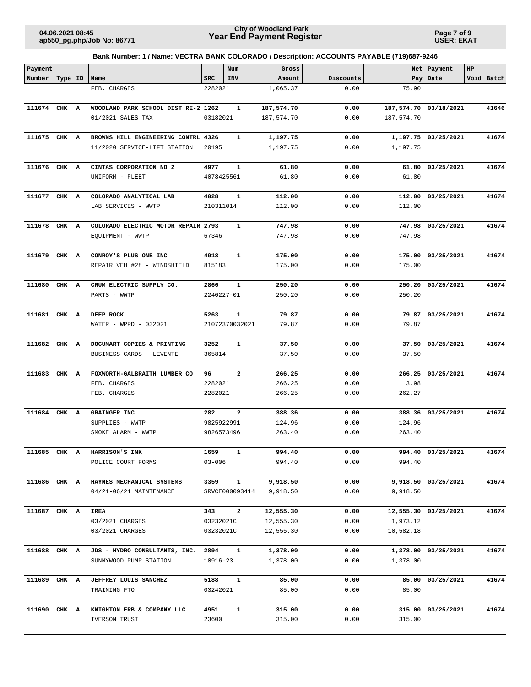**Page 7 of 9 USER: EKAT**

| Payment      |           |                                       |                  | Num                            | Gross          |              |            | Net   Payment         | HP |            |
|--------------|-----------|---------------------------------------|------------------|--------------------------------|----------------|--------------|------------|-----------------------|----|------------|
| Number       | Type   ID | Name                                  | <b>SRC</b>       | <b>INV</b>                     | Amount         | Discounts    |            | Pay Date              |    | Void Batch |
|              |           | FEB. CHARGES                          | 2282021          |                                | 1,065.37       | 0.00         | 75.90      |                       |    |            |
| 111674 CHK A |           | WOODLAND PARK SCHOOL DIST RE-2 1262   |                  | 1                              | 187,574.70     | 0.00         |            | 187,574.70 03/18/2021 |    | 41646      |
|              |           | 01/2021 SALES TAX                     | 03182021         |                                | 187,574.70     | 0.00         | 187,574.70 |                       |    |            |
|              |           |                                       |                  |                                |                |              |            |                       |    |            |
| 111675 CHK A |           | BROWNS HILL ENGINEERING CONTRL 4326   |                  | $\mathbf{1}$                   | 1,197.75       | 0.00         |            | 1,197.75 03/25/2021   |    | 41674      |
|              |           | 11/2020 SERVICE-LIFT STATION          | 20195            |                                | 1,197.75       | 0.00         | 1,197.75   |                       |    |            |
|              |           |                                       |                  |                                |                |              |            |                       |    |            |
| 111676 CHK A |           | CINTAS CORPORATION NO 2               | 4977             | 1                              | 61.80          | 0.00         |            | 61.80 03/25/2021      |    | 41674      |
|              |           | UNIFORM - FLEET                       |                  | 4078425561                     | 61.80          | 0.00         | 61.80      |                       |    |            |
| 111677 CHK A |           | COLORADO ANALYTICAL LAB               | 4028             | 1                              | 112.00         | 0.00         |            | 112.00 03/25/2021     |    | 41674      |
|              |           | LAB SERVICES - WWTP                   | 210311014        |                                | 112.00         | 0.00         | 112.00     |                       |    |            |
|              |           |                                       |                  |                                |                |              |            |                       |    |            |
| 111678 CHK A |           | COLORADO ELECTRIC MOTOR REPAIR 2793   |                  | 1                              | 747.98         | 0.00         |            | 747.98 03/25/2021     |    | 41674      |
|              |           | EQUIPMENT - WWTP                      | 67346            |                                | 747.98         | 0.00         | 747.98     |                       |    |            |
| 111679 CHK A |           | CONROY'S PLUS ONE INC                 | 4918             | $\mathbf{1}$                   | 175.00         | 0.00         |            | 175.00 03/25/2021     |    | 41674      |
|              |           | REPAIR VEH #28 - WINDSHIELD           | 815183           |                                | 175.00         | 0.00         | 175.00     |                       |    |            |
|              |           |                                       |                  |                                |                |              |            |                       |    |            |
| 111680       | CHK A     | CRUM ELECTRIC SUPPLY CO.              | 2866             | 1                              | 250.20         | 0.00         |            | 250.20 03/25/2021     |    | 41674      |
|              |           | PARTS - WWTP                          |                  | 2240227-01                     | 250.20         | 0.00         | 250.20     |                       |    |            |
|              |           |                                       |                  |                                |                |              |            |                       |    |            |
| 111681 CHK A |           | DEEP ROCK                             | 5263             | $\mathbf{1}$<br>21072370032021 | 79.87          | 0.00<br>0.00 | 79.87      | 79.87 03/25/2021      |    | 41674      |
|              |           | WATER - WPPD - 032021                 |                  |                                | 79.87          |              |            |                       |    |            |
| 111682 CHK A |           | DOCUMART COPIES & PRINTING            | 3252             | 1                              | 37.50          | 0.00         |            | 37.50 03/25/2021      |    | 41674      |
|              |           | BUSINESS CARDS - LEVENTE              | 365814           |                                | 37.50          | 0.00         | 37.50      |                       |    |            |
|              |           |                                       |                  |                                |                |              |            |                       |    |            |
| 111683       | CHK A     | FOXWORTH-GALBRAITH LUMBER CO          | 96               | 2                              | 266.25         | 0.00         |            | 266.25 03/25/2021     |    | 41674      |
|              |           | FEB. CHARGES                          | 2282021          |                                | 266.25         | 0.00         | 3.98       |                       |    |            |
|              |           | FEB. CHARGES                          | 2282021          |                                | 266.25         | 0.00         | 262.27     |                       |    |            |
| 111684 CHK A |           | GRAINGER INC.                         | 282              | 2                              | 388.36         | 0.00         |            | 388.36 03/25/2021     |    | 41674      |
|              |           | SUPPLIES - WWTP                       | 9825922991       |                                | 124.96         | 0.00         | 124.96     |                       |    |            |
|              |           | SMOKE ALARM - WWTP                    | 9826573496       |                                | 263.40         | 0.00         | 263.40     |                       |    |            |
|              |           |                                       |                  |                                |                |              |            |                       |    |            |
|              |           | 111685 CHK A HARRISON'S INK           | 1659             |                                | 994.40         | 0.00         |            | 994.40 03/25/2021     |    | 41674      |
|              |           | POLICE COURT FORMS                    | $03 - 006$       |                                | 994.40         | 0.00         | 994.40     |                       |    |            |
| 111686 CHK A |           | HAYNES MECHANICAL SYSTEMS             | 3359             | $\mathbf{1}$                   | 9,918.50       | 0.00         |            | 9,918.50 03/25/2021   |    | 41674      |
|              |           | 04/21-06/21 MAINTENANCE               |                  | SRVCE000093414                 | 9,918.50       | 0.00         | 9,918.50   |                       |    |            |
|              |           |                                       |                  |                                |                |              |            |                       |    |            |
| 111687 CHK A |           | <b>IREA</b>                           | 343              | $\mathbf{2}$                   | 12,555.30      | 0.00         |            | 12,555.30 03/25/2021  |    | 41674      |
|              |           | 03/2021 CHARGES                       | 03232021C        |                                | 12,555.30      | 0.00<br>0.00 | 1,973.12   |                       |    |            |
|              |           | 03/2021 CHARGES                       | 03232021C        |                                | 12,555.30      |              | 10,582.18  |                       |    |            |
| 111688 CHK A |           | JDS - HYDRO CONSULTANTS, INC.         | 2894             | 1                              | 1,378.00       | 0.00         |            | 1,378.00 03/25/2021   |    | 41674      |
|              |           | SUNNYWOOD PUMP STATION                | 10916-23         |                                | 1,378.00       | 0.00         | 1,378.00   |                       |    |            |
|              |           |                                       |                  |                                |                |              |            |                       |    |            |
| 111689 CHK A |           | JEFFREY LOUIS SANCHEZ<br>TRAINING FTO | 5188<br>03242021 | $\mathbf{1}$                   | 85.00<br>85.00 | 0.00<br>0.00 | 85.00      | 85.00 03/25/2021      |    | 41674      |
|              |           |                                       |                  |                                |                |              |            |                       |    |            |
| 111690 CHK A |           | KNIGHTON ERB & COMPANY LLC            | 4951             | $\mathbf{1}$                   | 315.00         | 0.00         |            | 315.00 03/25/2021     |    | 41674      |
|              |           | IVERSON TRUST                         | 23600            |                                | 315.00         | 0.00         | 315.00     |                       |    |            |
|              |           |                                       |                  |                                |                |              |            |                       |    |            |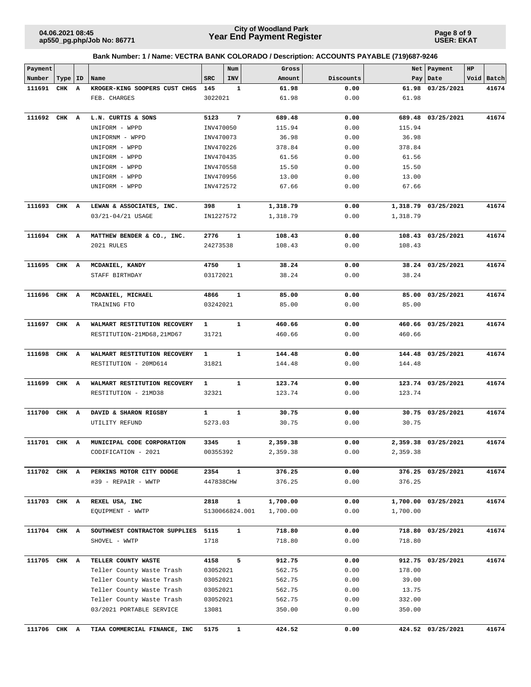**Page 8 of 9 USER: EKAT**

| Payment      |           |   |                               |              | Num            | Gross    |           |          | Net Payment         | HP |            |
|--------------|-----------|---|-------------------------------|--------------|----------------|----------|-----------|----------|---------------------|----|------------|
| Number       | Type   ID |   | Name                          | <b>SRC</b>   | INV            | Amount   | Discounts | Pay      | Date                |    | Void Batch |
| 111691       | CHK       | A | KROGER-KING SOOPERS CUST CHGS | 145          | 1              | 61.98    | 0.00      |          | 61.98 03/25/2021    |    | 41674      |
|              |           |   | FEB. CHARGES                  | 3022021      |                | 61.98    | 0.00      | 61.98    |                     |    |            |
|              |           |   |                               |              |                |          |           |          |                     |    |            |
| 111692       | CHK A     |   | L.N. CURTIS & SONS            | 5123         | 7              | 689.48   | 0.00      |          | 689.48 03/25/2021   |    | 41674      |
|              |           |   | UNIFORM - WPPD                | INV470050    |                | 115.94   | 0.00      | 115.94   |                     |    |            |
|              |           |   | UNIFORNM - WPPD               | INV470073    |                | 36.98    | 0.00      | 36.98    |                     |    |            |
|              |           |   | UNIFORM - WPPD                | INV470226    |                | 378.84   | 0.00      | 378.84   |                     |    |            |
|              |           |   | UNIFORM - WPPD                | INV470435    |                | 61.56    | 0.00      | 61.56    |                     |    |            |
|              |           |   | UNIFORM - WPPD                | INV470558    |                | 15.50    | 0.00      | 15.50    |                     |    |            |
|              |           |   | UNIFORM - WPPD                | INV470956    |                | 13.00    | 0.00      | 13.00    |                     |    |            |
|              |           |   | UNIFORM - WPPD                | INV472572    |                | 67.66    | 0.00      | 67.66    |                     |    |            |
|              |           |   |                               |              |                |          |           |          |                     |    |            |
| 111693 CHK A |           |   | LEWAN & ASSOCIATES, INC.      | 398          | 1              | 1,318.79 | 0.00      |          | 1,318.79 03/25/2021 |    | 41674      |
|              |           |   | 03/21-04/21 USAGE             | IN1227572    |                | 1,318.79 | 0.00      | 1,318.79 |                     |    |            |
|              |           |   |                               |              |                |          |           |          |                     |    |            |
| 111694 CHK A |           |   | MATTHEW BENDER & CO., INC.    | 2776         | 1              | 108.43   | 0.00      |          | 108.43 03/25/2021   |    | 41674      |
|              |           |   | 2021 RULES                    | 24273538     |                | 108.43   | 0.00      | 108.43   |                     |    |            |
|              |           |   | MCDANIEL, KANDY               |              | 1              | 38.24    |           |          | 38.24 03/25/2021    |    | 41674      |
| 111695 CHK A |           |   |                               | 4750         |                |          | 0.00      | 38.24    |                     |    |            |
|              |           |   | STAFF BIRTHDAY                | 03172021     |                | 38.24    | 0.00      |          |                     |    |            |
| 111696 CHK A |           |   | MCDANIEL, MICHAEL             | 4866         | $\mathbf{1}$   | 85.00    | 0.00      |          | 85.00 03/25/2021    |    | 41674      |
|              |           |   | TRAINING FTO                  | 03242021     |                | 85.00    | 0.00      | 85.00    |                     |    |            |
|              |           |   |                               |              |                |          |           |          |                     |    |            |
| 111697 CHK A |           |   | WALMART RESTITUTION RECOVERY  | 1            | 1              | 460.66   | 0.00      |          | 460.66 03/25/2021   |    | 41674      |
|              |           |   | RESTITUTION-21MD68, 21MD67    | 31721        |                | 460.66   | 0.00      | 460.66   |                     |    |            |
|              |           |   |                               |              |                |          |           |          |                     |    |            |
| 111698       | CHK A     |   | WALMART RESTITUTION RECOVERY  | 1            | $\mathbf{1}$   | 144.48   | 0.00      |          | 144.48 03/25/2021   |    | 41674      |
|              |           |   | RESTITUTION - 20MD614         | 31821        |                | 144.48   | 0.00      | 144.48   |                     |    |            |
|              |           |   |                               |              |                |          |           |          |                     |    |            |
| 111699       | CHK A     |   | WALMART RESTITUTION RECOVERY  | 1            | $\mathbf{1}$   | 123.74   | 0.00      |          | 123.74 03/25/2021   |    | 41674      |
|              |           |   | RESTITUTION - 21MD38          | 32321        |                | 123.74   | 0.00      | 123.74   |                     |    |            |
|              |           |   |                               |              |                |          |           |          |                     |    |            |
| 111700       | CHK A     |   | DAVID & SHARON RIGSBY         | $\mathbf{1}$ | 1              | 30.75    | 0.00      |          | 30.75 03/25/2021    |    | 41674      |
|              |           |   | UTILITY REFUND                | 5273.03      |                | 30.75    | 0.00      | 30.75    |                     |    |            |
|              |           |   |                               |              |                |          |           |          |                     |    |            |
| 111701 CHK A |           |   | MUNICIPAL CODE CORPORATION    | 3345         | 1              | 2,359.38 | 0.00      |          | 2,359.38 03/25/2021 |    | 41674      |
|              |           |   | CODIFICATION - 2021           | 00355392     |                | 2,359.38 | 0.00      | 2,359.38 |                     |    |            |
|              |           |   |                               |              |                |          |           |          |                     |    |            |
| 111702 CHK A |           |   | PERKINS MOTOR CITY DODGE      | 2354         | $\mathbf{1}$   | 376.25   | 0.00      |          | 376.25 03/25/2021   |    | 41674      |
|              |           |   | #39 - REPAIR - WWTP           | 447838CHW    |                | 376.25   | 0.00      | 376.25   |                     |    |            |
|              |           |   |                               |              |                |          |           |          |                     |    |            |
| 111703 CHK A |           |   | REXEL USA, INC                | 2818         | 1              | 1,700.00 | 0.00      |          | 1,700.00 03/25/2021 |    | 41674      |
|              |           |   | EQUIPMENT - WWTP              |              | S130066824.001 | 1,700.00 | 0.00      | 1,700.00 |                     |    |            |
| 111704 CHK A |           |   | SOUTHWEST CONTRACTOR SUPPLIES | 5115         | $\mathbf{1}$   | 718.80   | 0.00      |          | 718.80 03/25/2021   |    | 41674      |
|              |           |   | SHOVEL - WWTP                 | 1718         |                | 718.80   | 0.00      | 718.80   |                     |    |            |
|              |           |   |                               |              |                |          |           |          |                     |    |            |
| 111705 CHK A |           |   | TELLER COUNTY WASTE           | 4158         | 5              | 912.75   | 0.00      |          | 912.75 03/25/2021   |    | 41674      |
|              |           |   | Teller County Waste Trash     | 03052021     |                | 562.75   | 0.00      | 178.00   |                     |    |            |
|              |           |   | Teller County Waste Trash     | 03052021     |                | 562.75   | 0.00      | 39.00    |                     |    |            |
|              |           |   | Teller County Waste Trash     | 03052021     |                | 562.75   | 0.00      | 13.75    |                     |    |            |
|              |           |   | Teller County Waste Trash     | 03052021     |                | 562.75   | 0.00      | 332.00   |                     |    |            |
|              |           |   | 03/2021 PORTABLE SERVICE      | 13081        |                | 350.00   | 0.00      | 350.00   |                     |    |            |
|              |           |   |                               |              |                |          |           |          |                     |    |            |
| 111706 CHK A |           |   | TIAA COMMERCIAL FINANCE, INC  | 5175         | $\mathbf{1}$   | 424.52   | 0.00      |          | 424.52 03/25/2021   |    | 41674      |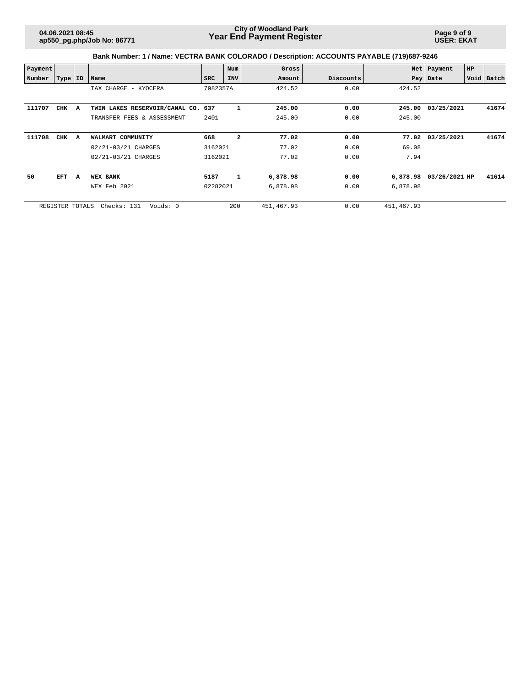**Page 9 of 9 USER: EKAT**

| Payment |                 |   |                                    |            | Num            | Gross       |           |             | Net   Payment | HP |            |
|---------|-----------------|---|------------------------------------|------------|----------------|-------------|-----------|-------------|---------------|----|------------|
| Number  | Type   ID       |   | Name                               | <b>SRC</b> | <b>INV</b>     | Amount      | Discounts |             | Pay   Date    |    | Void Batch |
|         |                 |   | TAX CHARGE - KYOCERA               | 7982357A   |                | 424.52      | 0.00      | 424.52      |               |    |            |
|         |                 |   |                                    |            |                |             |           |             |               |    |            |
| 111707  | CHK             | A | TWIN LAKES RESERVOIR/CANAL CO. 637 |            | 1              | 245.00      | 0.00      | 245.00      | 03/25/2021    |    | 41674      |
|         |                 |   | TRANSFER FEES & ASSESSMENT         | 2401       |                | 245.00      | 0.00      | 245.00      |               |    |            |
| 111708  | CHK             | A | WALMART COMMUNITY                  | 668        | $\overline{a}$ | 77.02       | 0.00      | 77.02       | 03/25/2021    |    | 41674      |
|         |                 |   | 02/21-03/21 CHARGES                | 3162021    |                | 77.02       | 0.00      | 69.08       |               |    |            |
|         |                 |   | 02/21-03/21 CHARGES                | 3162021    |                | 77.02       | 0.00      | 7.94        |               |    |            |
| 50      | EFT             | A | <b>WEX BANK</b>                    | 5187       | $\mathbf{1}$   | 6,878.98    | 0.00      | 6,878.98    | 03/26/2021 HP |    | 41614      |
|         |                 |   | WEX Feb 2021                       | 02282021   |                | 6,878.98    | 0.00      | 6,878.98    |               |    |            |
|         | REGISTER TOTALS |   | Voids: 0<br>Checks: 131            |            | 200            | 451, 467.93 | 0.00      | 451, 467.93 |               |    |            |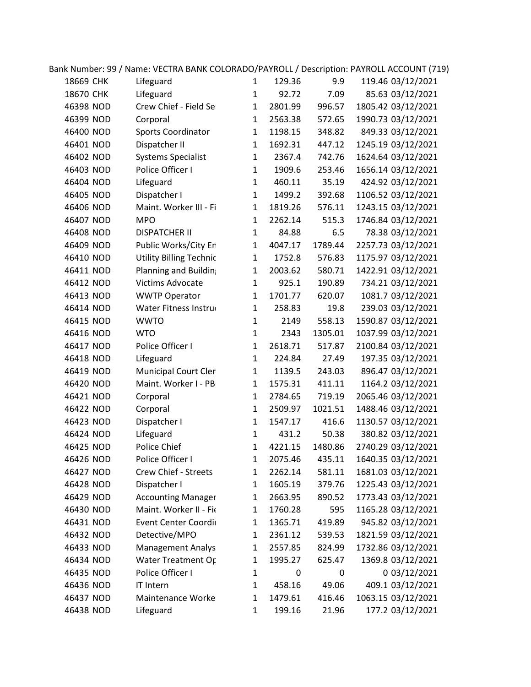| 18669 CHK | Lifeguard                      | $\mathbf{1}$ | 129.36  | 9.9     | 119.46 03/12/2021  |
|-----------|--------------------------------|--------------|---------|---------|--------------------|
| 18670 CHK | Lifeguard                      | $\mathbf{1}$ | 92.72   | 7.09    | 85.63 03/12/2021   |
| 46398 NOD | Crew Chief - Field Se          | $\mathbf{1}$ | 2801.99 | 996.57  | 1805.42 03/12/2021 |
| 46399 NOD | Corporal                       | $\mathbf{1}$ | 2563.38 | 572.65  | 1990.73 03/12/2021 |
| 46400 NOD | Sports Coordinator             | $\mathbf{1}$ | 1198.15 | 348.82  | 849.33 03/12/2021  |
| 46401 NOD | Dispatcher II                  | $\mathbf{1}$ | 1692.31 | 447.12  | 1245.19 03/12/2021 |
| 46402 NOD | <b>Systems Specialist</b>      | $\mathbf{1}$ | 2367.4  | 742.76  | 1624.64 03/12/2021 |
| 46403 NOD | Police Officer I               | $\mathbf{1}$ | 1909.6  | 253.46  | 1656.14 03/12/2021 |
| 46404 NOD | Lifeguard                      | $\mathbf{1}$ | 460.11  | 35.19   | 424.92 03/12/2021  |
| 46405 NOD | Dispatcher I                   | $\mathbf 1$  | 1499.2  | 392.68  | 1106.52 03/12/2021 |
| 46406 NOD | Maint. Worker III - Fi         | $\mathbf{1}$ | 1819.26 | 576.11  | 1243.15 03/12/2021 |
| 46407 NOD | <b>MPO</b>                     | $\mathbf{1}$ | 2262.14 | 515.3   | 1746.84 03/12/2021 |
| 46408 NOD | <b>DISPATCHER II</b>           | $\mathbf{1}$ | 84.88   | 6.5     | 78.38 03/12/2021   |
| 46409 NOD | Public Works/City Er           | $\mathbf{1}$ | 4047.17 | 1789.44 | 2257.73 03/12/2021 |
| 46410 NOD | <b>Utility Billing Technic</b> | $\mathbf 1$  | 1752.8  | 576.83  | 1175.97 03/12/2021 |
| 46411 NOD | Planning and Buildin           | $\mathbf{1}$ | 2003.62 | 580.71  | 1422.91 03/12/2021 |
| 46412 NOD | Victims Advocate               | $\mathbf{1}$ | 925.1   | 190.89  | 734.21 03/12/2021  |
| 46413 NOD | <b>WWTP Operator</b>           | $\mathbf{1}$ | 1701.77 | 620.07  | 1081.7 03/12/2021  |
| 46414 NOD | Water Fitness Instru           | $\mathbf{1}$ | 258.83  | 19.8    | 239.03 03/12/2021  |
| 46415 NOD | <b>WWTO</b>                    | $\mathbf{1}$ | 2149    | 558.13  | 1590.87 03/12/2021 |
| 46416 NOD | <b>WTO</b>                     | $\mathbf{1}$ | 2343    | 1305.01 | 1037.99 03/12/2021 |
| 46417 NOD | Police Officer I               | $\mathbf{1}$ | 2618.71 | 517.87  | 2100.84 03/12/2021 |
| 46418 NOD | Lifeguard                      | $\mathbf{1}$ | 224.84  | 27.49   | 197.35 03/12/2021  |
| 46419 NOD | <b>Municipal Court Cler</b>    | $\mathbf 1$  | 1139.5  | 243.03  | 896.47 03/12/2021  |
| 46420 NOD | Maint. Worker I - PB           | $\mathbf{1}$ | 1575.31 | 411.11  | 1164.2 03/12/2021  |
| 46421 NOD | Corporal                       | $\mathbf{1}$ | 2784.65 | 719.19  | 2065.46 03/12/2021 |
| 46422 NOD | Corporal                       | $\mathbf{1}$ | 2509.97 | 1021.51 | 1488.46 03/12/2021 |
| 46423 NOD | Dispatcher I                   | $\mathbf{1}$ | 1547.17 | 416.6   | 1130.57 03/12/2021 |
| 46424 NOD | Lifeguard                      | $\mathbf{1}$ | 431.2   | 50.38   | 380.82 03/12/2021  |
| 46425 NOD | Police Chief                   | 1            | 4221.15 | 1480.86 | 2740.29 03/12/2021 |
| 46426 NOD | Police Officer I               | $\mathbf{1}$ | 2075.46 | 435.11  | 1640.35 03/12/2021 |
| 46427 NOD | Crew Chief - Streets           | $\mathbf{1}$ | 2262.14 | 581.11  | 1681.03 03/12/2021 |
| 46428 NOD | Dispatcher I                   | $\mathbf{1}$ | 1605.19 | 379.76  | 1225.43 03/12/2021 |
| 46429 NOD | <b>Accounting Manager</b>      | $\mathbf{1}$ | 2663.95 | 890.52  | 1773.43 03/12/2021 |
| 46430 NOD | Maint. Worker II - Fio         | $\mathbf{1}$ | 1760.28 | 595     | 1165.28 03/12/2021 |
| 46431 NOD | Event Center Coordi            | $\mathbf{1}$ | 1365.71 | 419.89  | 945.82 03/12/2021  |
| 46432 NOD | Detective/MPO                  | $\mathbf{1}$ | 2361.12 | 539.53  | 1821.59 03/12/2021 |
| 46433 NOD | <b>Management Analys</b>       | $\mathbf{1}$ | 2557.85 | 824.99  | 1732.86 03/12/2021 |
| 46434 NOD | Water Treatment Or             | $\mathbf{1}$ | 1995.27 | 625.47  | 1369.8 03/12/2021  |
| 46435 NOD | Police Officer I               | $\mathbf{1}$ | 0       | 0       | 0 03/12/2021       |
| 46436 NOD | IT Intern                      | $\mathbf{1}$ | 458.16  | 49.06   | 409.1 03/12/2021   |
| 46437 NOD | Maintenance Worke              | $\mathbf{1}$ | 1479.61 | 416.46  | 1063.15 03/12/2021 |
| 46438 NOD | Lifeguard                      | $\mathbf{1}$ | 199.16  | 21.96   | 177.2 03/12/2021   |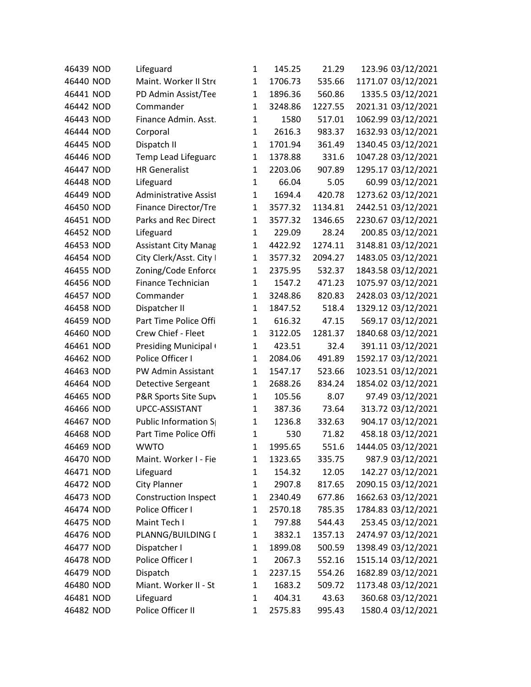| 46439 NOD | Lifeguard                   | $\mathbf{1}$ | 145.25  | 21.29   | 123.96 03/12/2021  |
|-----------|-----------------------------|--------------|---------|---------|--------------------|
| 46440 NOD | Maint. Worker II Stre       | 1            | 1706.73 | 535.66  | 1171.07 03/12/2021 |
| 46441 NOD | PD Admin Assist/Tee         | $\mathbf{1}$ | 1896.36 | 560.86  | 1335.5 03/12/2021  |
| 46442 NOD | Commander                   | $\mathbf{1}$ | 3248.86 | 1227.55 | 2021.31 03/12/2021 |
| 46443 NOD | Finance Admin. Asst.        | $\mathbf{1}$ | 1580    | 517.01  | 1062.99 03/12/2021 |
| 46444 NOD | Corporal                    | $\mathbf{1}$ | 2616.3  | 983.37  | 1632.93 03/12/2021 |
| 46445 NOD | Dispatch II                 | 1            | 1701.94 | 361.49  | 1340.45 03/12/2021 |
| 46446 NOD | Temp Lead Lifeguarc         | $\mathbf{1}$ | 1378.88 | 331.6   | 1047.28 03/12/2021 |
| 46447 NOD | <b>HR Generalist</b>        | $\mathbf{1}$ | 2203.06 | 907.89  | 1295.17 03/12/2021 |
| 46448 NOD | Lifeguard                   | $\mathbf{1}$ | 66.04   | 5.05    | 60.99 03/12/2021   |
| 46449 NOD | Administrative Assist       | $\mathbf{1}$ | 1694.4  | 420.78  | 1273.62 03/12/2021 |
| 46450 NOD | Finance Director/Tre        | $\mathbf{1}$ | 3577.32 | 1134.81 | 2442.51 03/12/2021 |
| 46451 NOD | Parks and Rec Direct        | $\mathbf{1}$ | 3577.32 | 1346.65 | 2230.67 03/12/2021 |
| 46452 NOD | Lifeguard                   | $\mathbf{1}$ | 229.09  | 28.24   | 200.85 03/12/2021  |
| 46453 NOD | <b>Assistant City Manag</b> | $\mathbf{1}$ | 4422.92 | 1274.11 | 3148.81 03/12/2021 |
| 46454 NOD | City Clerk/Asst. City I     | $\mathbf{1}$ | 3577.32 | 2094.27 | 1483.05 03/12/2021 |
| 46455 NOD | Zoning/Code Enforce         | 1            | 2375.95 | 532.37  | 1843.58 03/12/2021 |
| 46456 NOD | Finance Technician          | $\mathbf{1}$ | 1547.2  | 471.23  | 1075.97 03/12/2021 |
| 46457 NOD | Commander                   | $\mathbf{1}$ | 3248.86 | 820.83  | 2428.03 03/12/2021 |
| 46458 NOD | Dispatcher II               | $\mathbf{1}$ | 1847.52 | 518.4   | 1329.12 03/12/2021 |
| 46459 NOD | Part Time Police Offi       | $\mathbf{1}$ | 616.32  | 47.15   | 569.17 03/12/2021  |
| 46460 NOD | Crew Chief - Fleet          | $\mathbf{1}$ | 3122.05 | 1281.37 | 1840.68 03/12/2021 |
| 46461 NOD | Presiding Municipal         | $\mathbf{1}$ | 423.51  | 32.4    | 391.11 03/12/2021  |
| 46462 NOD | Police Officer I            | $\mathbf{1}$ | 2084.06 | 491.89  | 1592.17 03/12/2021 |
| 46463 NOD | PW Admin Assistant          | $\mathbf{1}$ | 1547.17 | 523.66  | 1023.51 03/12/2021 |
| 46464 NOD | Detective Sergeant          | $\mathbf{1}$ | 2688.26 | 834.24  | 1854.02 03/12/2021 |
| 46465 NOD | P&R Sports Site Supv        | $\mathbf{1}$ | 105.56  | 8.07    | 97.49 03/12/2021   |
| 46466 NOD | UPCC-ASSISTANT              | $\mathbf{1}$ | 387.36  | 73.64   | 313.72 03/12/2021  |
| 46467 NOD | Public Information S        | $\mathbf{1}$ | 1236.8  | 332.63  | 904.17 03/12/2021  |
| 46468 NOD | Part Time Police Offi       | $\mathbf{1}$ | 530     | 71.82   | 458.18 03/12/2021  |
| 46469 NOD | <b>WWTO</b>                 | $\mathbf{1}$ | 1995.65 | 551.6   | 1444.05 03/12/2021 |
| 46470 NOD | Maint. Worker I - Fie       | 1            | 1323.65 | 335.75  | 987.9 03/12/2021   |
| 46471 NOD | Lifeguard                   | 1            | 154.32  | 12.05   | 142.27 03/12/2021  |
| 46472 NOD | <b>City Planner</b>         | $\mathbf{1}$ | 2907.8  | 817.65  | 2090.15 03/12/2021 |
| 46473 NOD | <b>Construction Inspect</b> | $\mathbf{1}$ | 2340.49 | 677.86  | 1662.63 03/12/2021 |
| 46474 NOD | Police Officer I            | $\mathbf{1}$ | 2570.18 | 785.35  | 1784.83 03/12/2021 |
| 46475 NOD | Maint Tech I                | $\mathbf{1}$ | 797.88  | 544.43  | 253.45 03/12/2021  |
| 46476 NOD | PLANNG/BUILDING I           | 1            | 3832.1  | 1357.13 | 2474.97 03/12/2021 |
| 46477 NOD | Dispatcher I                | $\mathbf{1}$ | 1899.08 | 500.59  | 1398.49 03/12/2021 |
| 46478 NOD | Police Officer I            | $\mathbf{1}$ | 2067.3  | 552.16  | 1515.14 03/12/2021 |
| 46479 NOD | Dispatch                    | $\mathbf{1}$ | 2237.15 | 554.26  | 1682.89 03/12/2021 |
| 46480 NOD | Miant. Worker II - St       | $\mathbf{1}$ | 1683.2  | 509.72  | 1173.48 03/12/2021 |
| 46481 NOD | Lifeguard                   | $\mathbf{1}$ | 404.31  | 43.63   | 360.68 03/12/2021  |
| 46482 NOD | Police Officer II           | $\mathbf{1}$ | 2575.83 | 995.43  | 1580.4 03/12/2021  |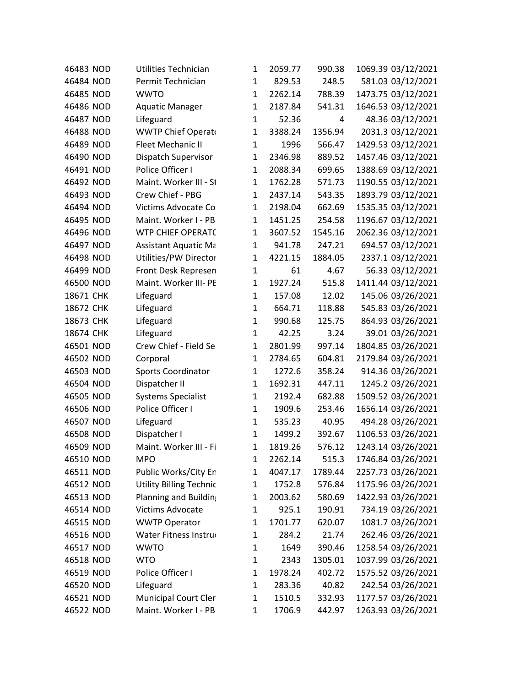| 46483 NOD | Utilities Technician           | $\mathbf{1}$ | 2059.77 | 990.38  | 1069.39 03/12/2021 |
|-----------|--------------------------------|--------------|---------|---------|--------------------|
| 46484 NOD | Permit Technician              | $\mathbf{1}$ | 829.53  | 248.5   | 581.03 03/12/2021  |
| 46485 NOD | <b>WWTO</b>                    | $\mathbf{1}$ | 2262.14 | 788.39  | 1473.75 03/12/2021 |
| 46486 NOD | <b>Aquatic Manager</b>         | $\mathbf{1}$ | 2187.84 | 541.31  | 1646.53 03/12/2021 |
| 46487 NOD | Lifeguard                      | $\mathbf{1}$ | 52.36   | 4       | 48.36 03/12/2021   |
| 46488 NOD | <b>WWTP Chief Operat</b>       | $\mathbf{1}$ | 3388.24 | 1356.94 | 2031.3 03/12/2021  |
| 46489 NOD | <b>Fleet Mechanic II</b>       | $\mathbf{1}$ | 1996    | 566.47  | 1429.53 03/12/2021 |
| 46490 NOD | Dispatch Supervisor            | $\mathbf{1}$ | 2346.98 | 889.52  | 1457.46 03/12/2021 |
| 46491 NOD | Police Officer I               | $\mathbf{1}$ | 2088.34 | 699.65  | 1388.69 03/12/2021 |
| 46492 NOD | Maint. Worker III - St         | $\mathbf{1}$ | 1762.28 | 571.73  | 1190.55 03/12/2021 |
| 46493 NOD | Crew Chief - PBG               | $\mathbf{1}$ | 2437.14 | 543.35  | 1893.79 03/12/2021 |
| 46494 NOD | Victims Advocate Co            | $\mathbf{1}$ | 2198.04 | 662.69  | 1535.35 03/12/2021 |
| 46495 NOD | Maint. Worker I - PB           | $\mathbf{1}$ | 1451.25 | 254.58  | 1196.67 03/12/2021 |
| 46496 NOD | <b>WTP CHIEF OPERAT(</b>       | $\mathbf{1}$ | 3607.52 | 1545.16 | 2062.36 03/12/2021 |
| 46497 NOD | <b>Assistant Aquatic Ma</b>    | $\mathbf{1}$ | 941.78  | 247.21  | 694.57 03/12/2021  |
| 46498 NOD | Utilities/PW Director          | $\mathbf{1}$ | 4221.15 | 1884.05 | 2337.1 03/12/2021  |
| 46499 NOD | Front Desk Represen            | $\mathbf{1}$ | 61      | 4.67    | 56.33 03/12/2021   |
| 46500 NOD | Maint. Worker III- PE          | $\mathbf{1}$ | 1927.24 | 515.8   | 1411.44 03/12/2021 |
| 18671 CHK | Lifeguard                      | $\mathbf{1}$ | 157.08  | 12.02   | 145.06 03/26/2021  |
| 18672 CHK | Lifeguard                      | 1            | 664.71  | 118.88  | 545.83 03/26/2021  |
| 18673 CHK | Lifeguard                      | $\mathbf{1}$ | 990.68  | 125.75  | 864.93 03/26/2021  |
| 18674 CHK | Lifeguard                      | $\mathbf{1}$ | 42.25   | 3.24    | 39.01 03/26/2021   |
| 46501 NOD | Crew Chief - Field Se          | $\mathbf{1}$ | 2801.99 | 997.14  | 1804.85 03/26/2021 |
| 46502 NOD | Corporal                       | $\mathbf{1}$ | 2784.65 | 604.81  | 2179.84 03/26/2021 |
| 46503 NOD | Sports Coordinator             | $\mathbf{1}$ | 1272.6  | 358.24  | 914.36 03/26/2021  |
| 46504 NOD | Dispatcher II                  | $\mathbf{1}$ | 1692.31 | 447.11  | 1245.2 03/26/2021  |
| 46505 NOD | <b>Systems Specialist</b>      | 1            | 2192.4  | 682.88  | 1509.52 03/26/2021 |
| 46506 NOD | Police Officer I               | $\mathbf{1}$ | 1909.6  | 253.46  | 1656.14 03/26/2021 |
| 46507 NOD | Lifeguard                      | $\mathbf{1}$ | 535.23  | 40.95   | 494.28 03/26/2021  |
| 46508 NOD | Dispatcher I                   | $\mathbf{1}$ | 1499.2  | 392.67  | 1106.53 03/26/2021 |
| 46509 NOD | Maint. Worker III - Fi         | $\mathbf{1}$ | 1819.26 | 576.12  | 1243.14 03/26/2021 |
| 46510 NOD | MPO                            | 1            | 2262.14 | 515.3   | 1746.84 03/26/2021 |
| 46511 NOD | Public Works/City Er           | 1            | 4047.17 | 1789.44 | 2257.73 03/26/2021 |
| 46512 NOD | <b>Utility Billing Technic</b> | $\mathbf{1}$ | 1752.8  | 576.84  | 1175.96 03/26/2021 |
| 46513 NOD | Planning and Buildin           | $\mathbf{1}$ | 2003.62 | 580.69  | 1422.93 03/26/2021 |
| 46514 NOD | <b>Victims Advocate</b>        | $\mathbf{1}$ | 925.1   | 190.91  | 734.19 03/26/2021  |
| 46515 NOD | <b>WWTP Operator</b>           | $\mathbf{1}$ | 1701.77 | 620.07  | 1081.7 03/26/2021  |
| 46516 NOD | Water Fitness Instru           | $\mathbf{1}$ | 284.2   | 21.74   | 262.46 03/26/2021  |
| 46517 NOD | <b>WWTO</b>                    | $\mathbf{1}$ | 1649    | 390.46  | 1258.54 03/26/2021 |
| 46518 NOD | <b>WTO</b>                     | $\mathbf{1}$ | 2343    | 1305.01 | 1037.99 03/26/2021 |
| 46519 NOD | Police Officer I               | $\mathbf{1}$ | 1978.24 | 402.72  | 1575.52 03/26/2021 |
| 46520 NOD | Lifeguard                      | $\mathbf{1}$ | 283.36  | 40.82   | 242.54 03/26/2021  |
| 46521 NOD | <b>Municipal Court Cler</b>    | 1            | 1510.5  | 332.93  | 1177.57 03/26/2021 |
| 46522 NOD | Maint. Worker I - PB           | 1            | 1706.9  | 442.97  | 1263.93 03/26/2021 |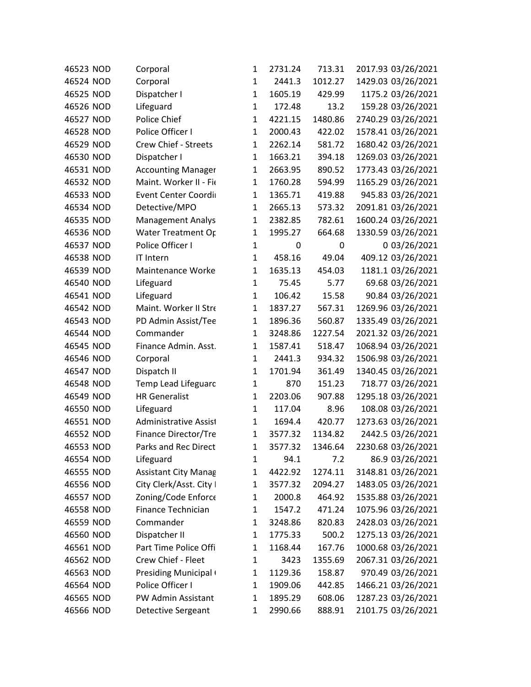| 46523 NOD | Corporal                    | 1            | 2731.24 | 713.31  | 2017.93 03/26/2021 |
|-----------|-----------------------------|--------------|---------|---------|--------------------|
| 46524 NOD | Corporal                    | 1            | 2441.3  | 1012.27 | 1429.03 03/26/2021 |
| 46525 NOD | Dispatcher I                | $\mathbf{1}$ | 1605.19 | 429.99  | 1175.2 03/26/2021  |
| 46526 NOD | Lifeguard                   | $\mathbf{1}$ | 172.48  | 13.2    | 159.28 03/26/2021  |
| 46527 NOD | Police Chief                | $\mathbf{1}$ | 4221.15 | 1480.86 | 2740.29 03/26/2021 |
| 46528 NOD | Police Officer I            | $\mathbf{1}$ | 2000.43 | 422.02  | 1578.41 03/26/2021 |
| 46529 NOD | Crew Chief - Streets        | $\mathbf{1}$ | 2262.14 | 581.72  | 1680.42 03/26/2021 |
| 46530 NOD | Dispatcher I                | $\mathbf{1}$ | 1663.21 | 394.18  | 1269.03 03/26/2021 |
| 46531 NOD | <b>Accounting Manager</b>   | $\mathbf{1}$ | 2663.95 | 890.52  | 1773.43 03/26/2021 |
| 46532 NOD | Maint. Worker II - Fio      | $\mathbf{1}$ | 1760.28 | 594.99  | 1165.29 03/26/2021 |
| 46533 NOD | Event Center Coordi         | $\mathbf{1}$ | 1365.71 | 419.88  | 945.83 03/26/2021  |
| 46534 NOD | Detective/MPO               | $\mathbf{1}$ | 2665.13 | 573.32  | 2091.81 03/26/2021 |
| 46535 NOD | <b>Management Analys</b>    | $\mathbf{1}$ | 2382.85 | 782.61  | 1600.24 03/26/2021 |
| 46536 NOD | Water Treatment Or          | $\mathbf{1}$ | 1995.27 | 664.68  | 1330.59 03/26/2021 |
| 46537 NOD | Police Officer I            | $\mathbf{1}$ | 0       | 0       | 0 03/26/2021       |
| 46538 NOD | <b>IT Intern</b>            | $\mathbf{1}$ | 458.16  | 49.04   | 409.12 03/26/2021  |
| 46539 NOD | Maintenance Worke           | $\mathbf{1}$ | 1635.13 | 454.03  | 1181.1 03/26/2021  |
| 46540 NOD | Lifeguard                   | $\mathbf{1}$ | 75.45   | 5.77    | 69.68 03/26/2021   |
| 46541 NOD | Lifeguard                   | $\mathbf{1}$ | 106.42  | 15.58   | 90.84 03/26/2021   |
| 46542 NOD | Maint. Worker II Stre       | $\mathbf{1}$ | 1837.27 | 567.31  | 1269.96 03/26/2021 |
| 46543 NOD | PD Admin Assist/Tee         | $\mathbf{1}$ | 1896.36 | 560.87  | 1335.49 03/26/2021 |
| 46544 NOD | Commander                   | $\mathbf{1}$ | 3248.86 | 1227.54 | 2021.32 03/26/2021 |
| 46545 NOD | Finance Admin. Asst.        | $\mathbf{1}$ | 1587.41 | 518.47  | 1068.94 03/26/2021 |
| 46546 NOD | Corporal                    | $\mathbf{1}$ | 2441.3  | 934.32  | 1506.98 03/26/2021 |
| 46547 NOD | Dispatch II                 | $\mathbf{1}$ | 1701.94 | 361.49  | 1340.45 03/26/2021 |
| 46548 NOD | Temp Lead Lifeguarc         | $\mathbf{1}$ | 870     | 151.23  | 718.77 03/26/2021  |
| 46549 NOD | <b>HR Generalist</b>        | $\mathbf{1}$ | 2203.06 | 907.88  | 1295.18 03/26/2021 |
| 46550 NOD | Lifeguard                   | $\mathbf{1}$ | 117.04  | 8.96    | 108.08 03/26/2021  |
| 46551 NOD | Administrative Assist       | $\mathbf{1}$ | 1694.4  | 420.77  | 1273.63 03/26/2021 |
| 46552 NOD | <b>Finance Director/Tre</b> | $\mathbf{1}$ | 3577.32 | 1134.82 | 2442.5 03/26/2021  |
| 46553 NOD | Parks and Rec Direct        | $\mathbf{1}$ | 3577.32 | 1346.64 | 2230.68 03/26/2021 |
| 46554 NOD | Lifeguard                   | 1            | 94.1    | 7.2     | 86.9 03/26/2021    |
| 46555 NOD | Assistant City Manag        | $\mathbf{1}$ | 4422.92 | 1274.11 | 3148.81 03/26/2021 |
| 46556 NOD | City Clerk/Asst. City I     | $\mathbf{1}$ | 3577.32 | 2094.27 | 1483.05 03/26/2021 |
| 46557 NOD | Zoning/Code Enforce         | 1            | 2000.8  | 464.92  | 1535.88 03/26/2021 |
| 46558 NOD | Finance Technician          | $\mathbf{1}$ | 1547.2  | 471.24  | 1075.96 03/26/2021 |
| 46559 NOD | Commander                   | $\mathbf{1}$ | 3248.86 | 820.83  | 2428.03 03/26/2021 |
| 46560 NOD | Dispatcher II               | $\mathbf{1}$ | 1775.33 | 500.2   | 1275.13 03/26/2021 |
| 46561 NOD | Part Time Police Offi       | $\mathbf{1}$ | 1168.44 | 167.76  | 1000.68 03/26/2021 |
| 46562 NOD | Crew Chief - Fleet          | $\mathbf{1}$ | 3423    | 1355.69 | 2067.31 03/26/2021 |
| 46563 NOD | Presiding Municipal         | $\mathbf{1}$ | 1129.36 | 158.87  | 970.49 03/26/2021  |
| 46564 NOD | Police Officer I            | $\mathbf{1}$ | 1909.06 | 442.85  | 1466.21 03/26/2021 |
| 46565 NOD | PW Admin Assistant          | 1            | 1895.29 | 608.06  | 1287.23 03/26/2021 |
| 46566 NOD | <b>Detective Sergeant</b>   | 1            | 2990.66 | 888.91  | 2101.75 03/26/2021 |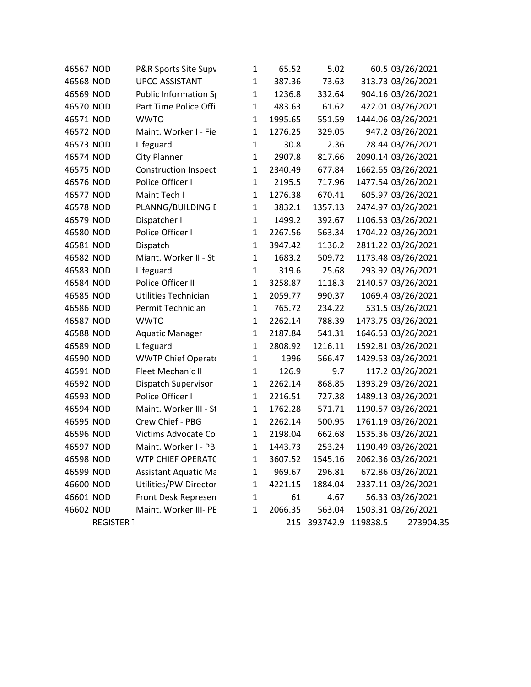| 46567 NOD |                   | P&R Sports Site Supy        | $\mathbf 1$  | 65.52   | 5.02         |          | 60.5 03/26/2021    |
|-----------|-------------------|-----------------------------|--------------|---------|--------------|----------|--------------------|
| 46568 NOD |                   | UPCC-ASSISTANT              | $\mathbf{1}$ | 387.36  | 73.63        |          | 313.73 03/26/2021  |
| 46569 NOD |                   | Public Information S        | 1            | 1236.8  | 332.64       |          | 904.16 03/26/2021  |
| 46570 NOD |                   | Part Time Police Offi       | 1            | 483.63  | 61.62        |          | 422.01 03/26/2021  |
| 46571 NOD |                   | <b>WWTO</b>                 | $\mathbf{1}$ | 1995.65 | 551.59       |          | 1444.06 03/26/2021 |
| 46572 NOD |                   | Maint. Worker I - Fie       | $\mathbf{1}$ | 1276.25 | 329.05       |          | 947.2 03/26/2021   |
| 46573 NOD |                   | Lifeguard                   | $\mathbf{1}$ | 30.8    | 2.36         |          | 28.44 03/26/2021   |
| 46574 NOD |                   | <b>City Planner</b>         | $\mathbf{1}$ | 2907.8  | 817.66       |          | 2090.14 03/26/2021 |
| 46575 NOD |                   | <b>Construction Inspect</b> | $\mathbf{1}$ | 2340.49 | 677.84       |          | 1662.65 03/26/2021 |
| 46576 NOD |                   | Police Officer I            | $\mathbf{1}$ | 2195.5  | 717.96       |          | 1477.54 03/26/2021 |
| 46577 NOD |                   | Maint Tech I                | $\mathbf{1}$ | 1276.38 | 670.41       |          | 605.97 03/26/2021  |
| 46578 NOD |                   | PLANNG/BUILDING I           | $\mathbf 1$  | 3832.1  | 1357.13      |          | 2474.97 03/26/2021 |
| 46579 NOD |                   | Dispatcher I                | $\mathbf{1}$ | 1499.2  | 392.67       |          | 1106.53 03/26/2021 |
| 46580 NOD |                   | Police Officer I            | $\mathbf{1}$ | 2267.56 | 563.34       |          | 1704.22 03/26/2021 |
| 46581 NOD |                   | Dispatch                    | $\mathbf{1}$ | 3947.42 | 1136.2       |          | 2811.22 03/26/2021 |
| 46582 NOD |                   | Miant. Worker II - St       | $\mathbf{1}$ | 1683.2  | 509.72       |          | 1173.48 03/26/2021 |
| 46583 NOD |                   | Lifeguard                   | $\mathbf{1}$ | 319.6   | 25.68        |          | 293.92 03/26/2021  |
| 46584 NOD |                   | Police Officer II           | $\mathbf{1}$ | 3258.87 | 1118.3       |          | 2140.57 03/26/2021 |
| 46585 NOD |                   | <b>Utilities Technician</b> | 1            | 2059.77 | 990.37       |          | 1069.4 03/26/2021  |
| 46586 NOD |                   | Permit Technician           | $\mathbf{1}$ | 765.72  | 234.22       |          | 531.5 03/26/2021   |
| 46587 NOD |                   | <b>WWTO</b>                 | 1            | 2262.14 | 788.39       |          | 1473.75 03/26/2021 |
| 46588 NOD |                   | <b>Aquatic Manager</b>      | $\mathbf{1}$ | 2187.84 | 541.31       |          | 1646.53 03/26/2021 |
| 46589 NOD |                   | Lifeguard                   | $\mathbf{1}$ | 2808.92 | 1216.11      |          | 1592.81 03/26/2021 |
| 46590 NOD |                   | WWTP Chief Operat           | $\mathbf{1}$ | 1996    | 566.47       |          | 1429.53 03/26/2021 |
| 46591 NOD |                   | <b>Fleet Mechanic II</b>    | $\mathbf{1}$ | 126.9   | 9.7          |          | 117.2 03/26/2021   |
| 46592 NOD |                   | Dispatch Supervisor         | $\mathbf{1}$ | 2262.14 | 868.85       |          | 1393.29 03/26/2021 |
| 46593 NOD |                   | Police Officer I            | 1            | 2216.51 | 727.38       |          | 1489.13 03/26/2021 |
| 46594 NOD |                   | Maint. Worker III - St      | 1            | 1762.28 | 571.71       |          | 1190.57 03/26/2021 |
| 46595 NOD |                   | Crew Chief - PBG            | 1            | 2262.14 | 500.95       |          | 1761.19 03/26/2021 |
| 46596 NOD |                   | Victims Advocate Co         | 1            | 2198.04 | 662.68       |          | 1535.36 03/26/2021 |
| 46597 NOD |                   | Maint. Worker I - PB        | 1            | 1443.73 | 253.24       |          | 1190.49 03/26/2021 |
| 46598 NOD |                   | <b>WTP CHIEF OPERAT(</b>    | 1            | 3607.52 | 1545.16      |          | 2062.36 03/26/2021 |
| 46599 NOD |                   | <b>Assistant Aquatic Ma</b> | 1            | 969.67  | 296.81       |          | 672.86 03/26/2021  |
| 46600 NOD |                   | Utilities/PW Director       | 1            | 4221.15 | 1884.04      |          | 2337.11 03/26/2021 |
| 46601 NOD |                   | Front Desk Represen         | 1            | 61      | 4.67         |          | 56.33 03/26/2021   |
| 46602 NOD |                   | Maint. Worker III- PE       | 1            | 2066.35 | 563.04       |          | 1503.31 03/26/2021 |
|           | <b>REGISTER 1</b> |                             |              |         | 215 393742.9 | 119838.5 | 273904.35          |